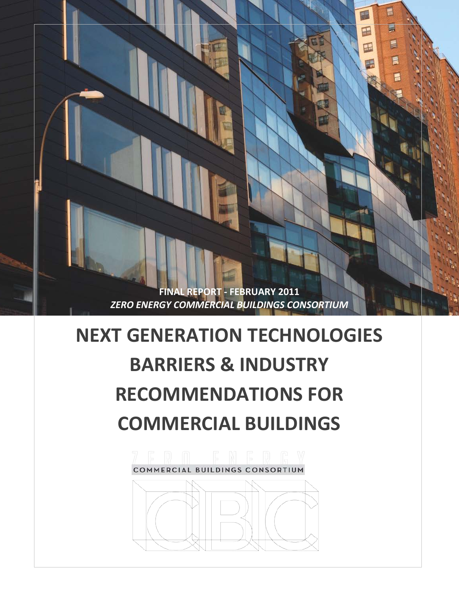**FINAL REPORT - FEBRUARY 2011** *ZERO ENERGY COMMERCIAL BUILDINGS CONSORTIUM* E

 $\overline{\phantom{a}}$ 

틊

1

围

 $\blacksquare$ 

# **NEXT GENERATION TECHNOLOGIES BARRIERS & INDUSTRY RECOMMENDATIONS FOR COMMERCIAL BUILDINGS**

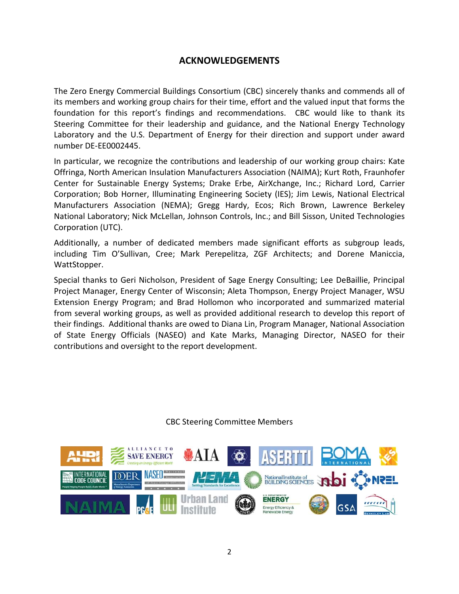## **ACKNOWLEDGEMENTS**

<span id="page-1-0"></span>The Zero Energy Commercial Buildings Consortium (CBC) sincerely thanks and commends all of its members and working group chairs for their time, effort and the valued input that forms the foundation for this report's findings and recommendations. CBC would like to thank its Steering Committee for their leadership and guidance, and the National Energy Technology Laboratory and the U.S. Department of Energy for their direction and support under award number DE-EE0002445.

In particular, we recognize the contributions and leadership of our working group chairs: Kate Offringa, North American Insulation Manufacturers Association (NAIMA); Kurt Roth, Fraunhofer Center for Sustainable Energy Systems; Drake Erbe, AirXchange, Inc.; Richard Lord, Carrier Corporation; Bob Horner, Illuminating Engineering Society (IES); Jim Lewis, National Electrical Manufacturers Association (NEMA); Gregg Hardy, Ecos; Rich Brown, Lawrence Berkeley National Laboratory; Nick McLellan, Johnson Controls, Inc.; and Bill Sisson, United Technologies Corporation (UTC).

Additionally, a number of dedicated members made significant efforts as subgroup leads, including Tim O'Sullivan, Cree; Mark Perepelitza, ZGF Architects; and Dorene Maniccia, WattStopper.

Special thanks to Geri Nicholson, President of Sage Energy Consulting; Lee DeBaillie, Principal Project Manager, Energy Center of Wisconsin; Aleta Thompson, Energy Project Manager, WSU Extension Energy Program; and Brad Hollomon who incorporated and summarized material from several working groups, as well as provided additional research to develop this report of their findings. Additional thanks are owed to Diana Lin, Program Manager, National Association of State Energy Officials (NASEO) and Kate Marks, Managing Director, NASEO for their contributions and oversight to the report development.

#### CBC Steering Committee Members

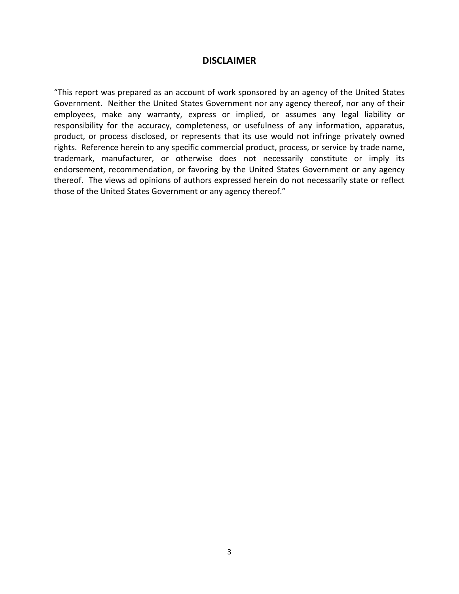## **DISCLAIMER**

"This report was prepared as an account of work sponsored by an agency of the United States Government. Neither the United States Government nor any agency thereof, nor any of their employees, make any warranty, express or implied, or assumes any legal liability or responsibility for the accuracy, completeness, or usefulness of any information, apparatus, product, or process disclosed, or represents that its use would not infringe privately owned rights. Reference herein to any specific commercial product, process, or service by trade name, trademark, manufacturer, or otherwise does not necessarily constitute or imply its endorsement, recommendation, or favoring by the United States Government or any agency thereof. The views ad opinions of authors expressed herein do not necessarily state or reflect those of the United States Government or any agency thereof."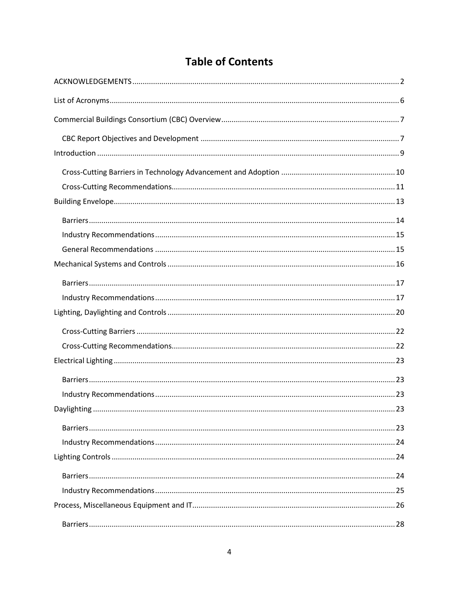# **Table of Contents**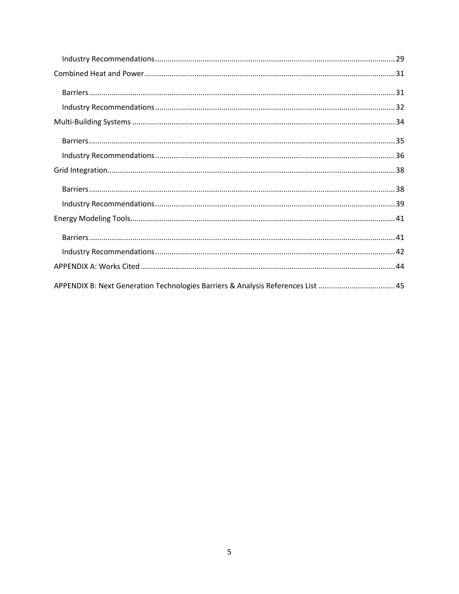| APPENDIX B: Next Generation Technologies Barriers & Analysis References List 45 |
|---------------------------------------------------------------------------------|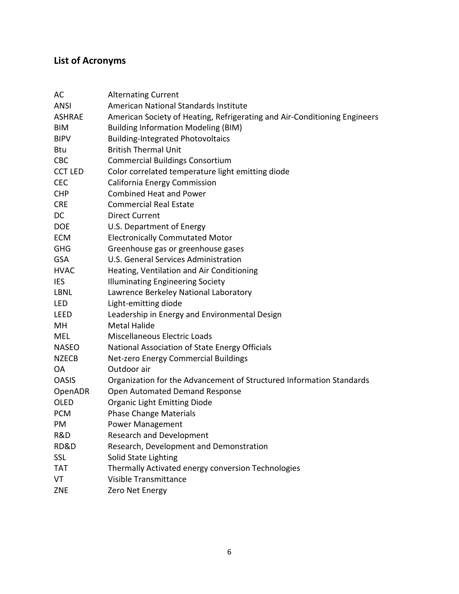## <span id="page-5-0"></span>**List of Acronyms**

| AC             | <b>Alternating Current</b>                                                |  |  |
|----------------|---------------------------------------------------------------------------|--|--|
| <b>ANSI</b>    | American National Standards Institute                                     |  |  |
| <b>ASHRAE</b>  | American Society of Heating, Refrigerating and Air-Conditioning Engineers |  |  |
| BIM            | <b>Building Information Modeling (BIM)</b>                                |  |  |
| <b>BIPV</b>    | <b>Building-Integrated Photovoltaics</b>                                  |  |  |
| Btu            | <b>British Thermal Unit</b>                                               |  |  |
| <b>CBC</b>     | <b>Commercial Buildings Consortium</b>                                    |  |  |
| <b>CCT LED</b> | Color correlated temperature light emitting diode                         |  |  |
| <b>CEC</b>     | California Energy Commission                                              |  |  |
| <b>CHP</b>     | <b>Combined Heat and Power</b>                                            |  |  |
| <b>CRE</b>     | <b>Commercial Real Estate</b>                                             |  |  |
| DC             | <b>Direct Current</b>                                                     |  |  |
| <b>DOE</b>     | U.S. Department of Energy                                                 |  |  |
| <b>ECM</b>     | <b>Electronically Commutated Motor</b>                                    |  |  |
| <b>GHG</b>     | Greenhouse gas or greenhouse gases                                        |  |  |
| <b>GSA</b>     | U.S. General Services Administration                                      |  |  |
| <b>HVAC</b>    | Heating, Ventilation and Air Conditioning                                 |  |  |
| <b>IES</b>     | <b>Illuminating Engineering Society</b>                                   |  |  |
| <b>LBNL</b>    | Lawrence Berkeley National Laboratory                                     |  |  |
| <b>LED</b>     | Light-emitting diode                                                      |  |  |
| <b>LEED</b>    | Leadership in Energy and Environmental Design                             |  |  |
| MH             | <b>Metal Halide</b>                                                       |  |  |
| MEL            | <b>Miscellaneous Electric Loads</b>                                       |  |  |
| <b>NASEO</b>   | National Association of State Energy Officials                            |  |  |
| <b>NZECB</b>   | Net-zero Energy Commercial Buildings                                      |  |  |
| OA.            | Outdoor air                                                               |  |  |
| <b>OASIS</b>   | Organization for the Advancement of Structured Information Standards      |  |  |
| OpenADR        | Open Automated Demand Response                                            |  |  |
| <b>OLED</b>    | <b>Organic Light Emitting Diode</b>                                       |  |  |
| <b>PCM</b>     | <b>Phase Change Materials</b>                                             |  |  |
| PM             | Power Management                                                          |  |  |
| R&D            | <b>Research and Development</b>                                           |  |  |
| RD&D           | Research, Development and Demonstration                                   |  |  |
| <b>SSL</b>     | Solid State Lighting                                                      |  |  |
| <b>TAT</b>     | Thermally Activated energy conversion Technologies                        |  |  |
| VT             | Visible Transmittance                                                     |  |  |
| <b>ZNE</b>     | Zero Net Energy                                                           |  |  |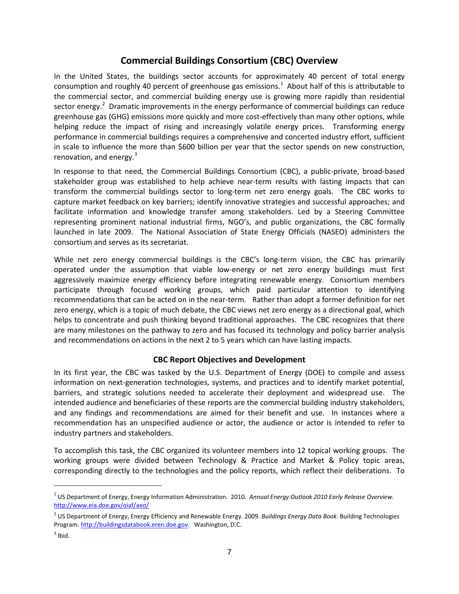## **Commercial Buildings Consortium (CBC) Overview**

<span id="page-6-0"></span>In the United States, the buildings sector accounts for approximately 40 percent of total energy consumption and roughly 40 percent of greenhouse gas emissions.<sup>[1](#page-6-2)</sup> About half of this is attributable to the commercial sector, and commercial building energy use is growing more rapidly than residential sector energy.<sup>[2](#page-6-3)</sup> Dramatic improvements in the energy performance of commercial buildings can reduce greenhouse gas (GHG) emissions more quickly and more cost-effectively than many other options, while helping reduce the impact of rising and increasingly volatile energy prices. Transforming energy performance in commercial buildings requires a comprehensive and concerted industry effort, sufficient in scale to influence the more than \$600 billion per year that the sector spends on new construction, renovation, and energy. $3$ 

In response to that need, the Commercial Buildings Consortium (CBC), a public-private, broad-based stakeholder group was established to help achieve near-term results with lasting impacts that can transform the commercial buildings sector to long-term net zero energy goals. The CBC works to capture market feedback on key barriers; identify innovative strategies and successful approaches; and facilitate information and knowledge transfer among stakeholders. Led by a Steering Committee representing prominent national industrial firms, NGO's, and public organizations, the CBC formally launched in late 2009. The National Association of State Energy Officials (NASEO) administers the consortium and serves as its secretariat.

While net zero energy commercial buildings is the CBC's long-term vision, the CBC has primarily operated under the assumption that viable low-energy or net zero energy buildings must first aggressively maximize energy efficiency before integrating renewable energy. Consortium members participate through focused working groups, which paid particular attention to identifying recommendations that can be acted on in the near-term. Rather than adopt a former definition for net zero energy, which is a topic of much debate, the CBC views net zero energy as a directional goal, which helps to concentrate and push thinking beyond traditional approaches. The CBC recognizes that there are many milestones on the pathway to zero and has focused its technology and policy barrier analysis and recommendations on actions in the next 2 to 5 years which can have lasting impacts.

#### **CBC Report Objectives and Development**

<span id="page-6-1"></span>In its first year, the CBC was tasked by the U.S. Department of Energy (DOE) to compile and assess information on next-generation technologies, systems, and practices and to identify market potential, barriers, and strategic solutions needed to accelerate their deployment and widespread use. The intended audience and beneficiaries of these reports are the commercial building industry stakeholders, and any findings and recommendations are aimed for their benefit and use. In instances where a recommendation has an unspecified audience or actor, the audience or actor is intended to refer to industry partners and stakeholders.

To accomplish this task, the CBC organized its volunteer members into 12 topical working groups. The working groups were divided between Technology & Practice and Market & Policy topic areas, corresponding directly to the technologies and the policy reports, which reflect their deliberations. To

ı

<span id="page-6-2"></span><sup>1</sup> US Department of Energy, Energy Information Administration. 2010. *Annual Energy Outlook 2010 Early Release Overview.* <http://www.eia.doe.gov/oiaf/aeo/>

<span id="page-6-3"></span><sup>2</sup> US Department of Energy, Energy Efficiency and Renewable Energy. 2009. *Buildings Energy Data Book*. Building Technologies Program[. http://buildingsdatabook.eren.doe.gov.](http://buildingsdatabook.eren.doe.gov/) Washington, D.C.

<span id="page-6-4"></span> $3$  Ibid.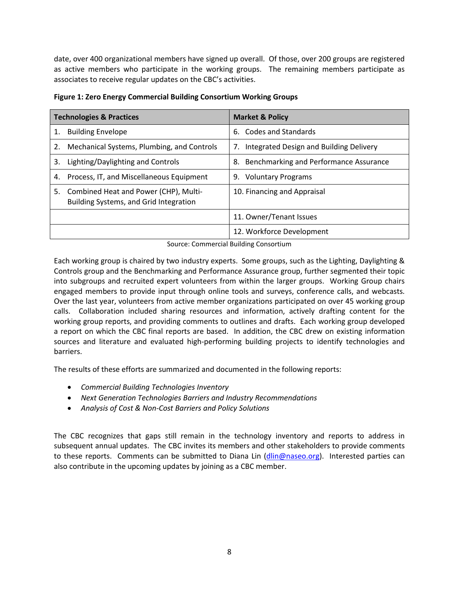date, over 400 organizational members have signed up overall. Of those, over 200 groups are registered as active members who participate in the working groups. The remaining members participate as associates to receive regular updates on the CBC's activities.

| <b>Technologies &amp; Practices</b> |                                                                                 | <b>Market &amp; Policy</b>                    |  |
|-------------------------------------|---------------------------------------------------------------------------------|-----------------------------------------------|--|
| 1.                                  | <b>Building Envelope</b>                                                        | 6. Codes and Standards                        |  |
| 2.                                  | Mechanical Systems, Plumbing, and Controls                                      | Integrated Design and Building Delivery<br>7. |  |
| 3.                                  | Lighting/Daylighting and Controls                                               | Benchmarking and Performance Assurance<br>8.  |  |
| 4.                                  | Process, IT, and Miscellaneous Equipment                                        | 9. Voluntary Programs                         |  |
| 5.                                  | Combined Heat and Power (CHP), Multi-<br>Building Systems, and Grid Integration | 10. Financing and Appraisal                   |  |
|                                     |                                                                                 | 11. Owner/Tenant Issues                       |  |
|                                     |                                                                                 | 12. Workforce Development                     |  |

**Figure 1: Zero Energy Commercial Building Consortium Working Groups**

Source: Commercial Building Consortium

Each working group is chaired by two industry experts. Some groups, such as the Lighting, Daylighting & Controls group and the Benchmarking and Performance Assurance group, further segmented their topic into subgroups and recruited expert volunteers from within the larger groups. Working Group chairs engaged members to provide input through online tools and surveys, conference calls, and webcasts. Over the last year, volunteers from active member organizations participated on over 45 working group calls. Collaboration included sharing resources and information, actively drafting content for the working group reports, and providing comments to outlines and drafts. Each working group developed a report on which the CBC final reports are based. In addition, the CBC drew on existing information sources and literature and evaluated high-performing building projects to identify technologies and barriers.

The results of these efforts are summarized and documented in the following reports:

- *Commercial Building Technologies Inventory*
- *Next Generation Technologies Barriers and Industry Recommendations*
- *Analysis of Cost & Non-Cost Barriers and Policy Solutions*

The CBC recognizes that gaps still remain in the technology inventory and reports to address in subsequent annual updates. The CBC invites its members and other stakeholders to provide comments to these reports. Comments can be submitted to Diana Lin [\(dlin@naseo.org\)](mailto:dlin@naseo.org). Interested parties can also contribute in the upcoming updates by joining as a CBC member.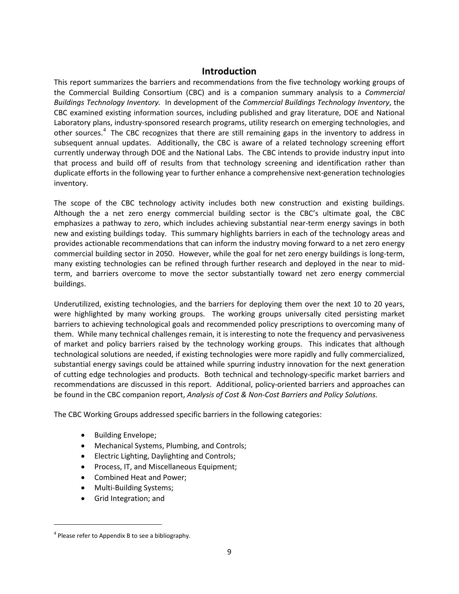## **Introduction**

<span id="page-8-0"></span>This report summarizes the barriers and recommendations from the five technology working groups of the Commercial Building Consortium (CBC) and is a companion summary analysis to a *Commercial Buildings Technology Inventory.* In development of the *Commercial Buildings Technology Inventory*, the CBC examined existing information sources, including published and gray literature, DOE and National Laboratory plans, industry-sponsored research programs, utility research on emerging technologies, and other sources.<sup>[4](#page-8-1)</sup> The CBC recognizes that there are still remaining gaps in the inventory to address in subsequent annual updates. Additionally, the CBC is aware of a related technology screening effort currently underway through DOE and the National Labs. The CBC intends to provide industry input into that process and build off of results from that technology screening and identification rather than duplicate efforts in the following year to further enhance a comprehensive next-generation technologies inventory.

The scope of the CBC technology activity includes both new construction and existing buildings. Although the a net zero energy commercial building sector is the CBC's ultimate goal, the CBC emphasizes a pathway to zero, which includes achieving substantial near-term energy savings in both new and existing buildings today. This summary highlights barriers in each of the technology areas and provides actionable recommendations that can inform the industry moving forward to a net zero energy commercial building sector in 2050. However, while the goal for net zero energy buildings is long-term, many existing technologies can be refined through further research and deployed in the near to midterm, and barriers overcome to move the sector substantially toward net zero energy commercial buildings.

Underutilized, existing technologies, and the barriers for deploying them over the next 10 to 20 years, were highlighted by many working groups. The working groups universally cited persisting market barriers to achieving technological goals and recommended policy prescriptions to overcoming many of them. While many technical challenges remain, it is interesting to note the frequency and pervasiveness of market and policy barriers raised by the technology working groups. This indicates that although technological solutions are needed, if existing technologies were more rapidly and fully commercialized, substantial energy savings could be attained while spurring industry innovation for the next generation of cutting edge technologies and products. Both technical and technology-specific market barriers and recommendations are discussed in this report. Additional, policy-oriented barriers and approaches can be found in the CBC companion report, *Analysis of Cost & Non-Cost Barriers and Policy Solutions.*

The CBC Working Groups addressed specific barriers in the following categories:

- Building Envelope;
- Mechanical Systems, Plumbing, and Controls;
- Electric Lighting, Daylighting and Controls;
- Process, IT, and Miscellaneous Equipment;
- Combined Heat and Power;
- Multi-Building Systems;
- Grid Integration; and

<span id="page-8-1"></span> $4$  Please refer to Appendix B to see a bibliography.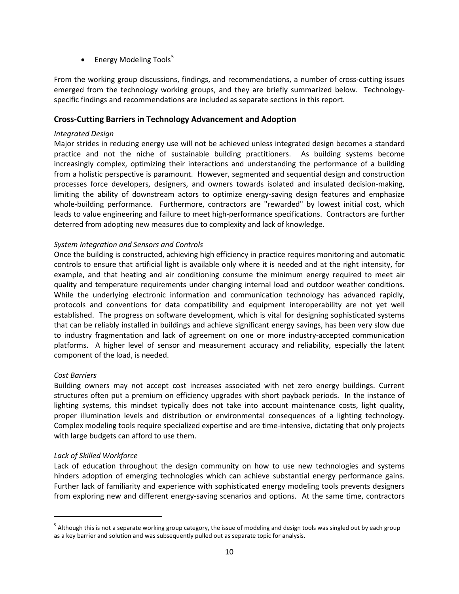• Energy Modeling Tools $5$ 

From the working group discussions, findings, and recommendations, a number of cross-cutting issues emerged from the technology working groups, and they are briefly summarized below. Technologyspecific findings and recommendations are included as separate sections in this report.

#### <span id="page-9-0"></span>**Cross-Cutting Barriers in Technology Advancement and Adoption**

#### *Integrated Design*

Major strides in reducing energy use will not be achieved unless integrated design becomes a standard practice and not the niche of sustainable building practitioners. As building systems become increasingly complex, optimizing their interactions and understanding the performance of a building from a holistic perspective is paramount. However, segmented and sequential design and construction processes force developers, designers, and owners towards isolated and insulated decision-making, limiting the ability of downstream actors to optimize energy-saving design features and emphasize whole-building performance. Furthermore, contractors are "rewarded" by lowest initial cost, which leads to value engineering and failure to meet high-performance specifications. Contractors are further deterred from adopting new measures due to complexity and lack of knowledge.

#### *System Integration and Sensors and Controls*

Once the building is constructed, achieving high efficiency in practice requires monitoring and automatic controls to ensure that artificial light is available only where it is needed and at the right intensity, for example, and that heating and air conditioning consume the minimum energy required to meet air quality and temperature requirements under changing internal load and outdoor weather conditions. While the underlying electronic information and communication technology has advanced rapidly, protocols and conventions for data compatibility and equipment interoperability are not yet well established. The progress on software development, which is vital for designing sophisticated systems that can be reliably installed in buildings and achieve significant energy savings, has been very slow due to industry fragmentation and lack of agreement on one or more industry-accepted communication platforms. A higher level of sensor and measurement accuracy and reliability, especially the latent component of the load, is needed.

#### *Cost Barriers*

 $\overline{\phantom{0}}$ 

Building owners may not accept cost increases associated with net zero energy buildings. Current structures often put a premium on efficiency upgrades with short payback periods. In the instance of lighting systems, this mindset typically does not take into account maintenance costs, light quality, proper illumination levels and distribution or environmental consequences of a lighting technology. Complex modeling tools require specialized expertise and are time-intensive, dictating that only projects with large budgets can afford to use them.

#### *Lack of Skilled Workforce*

Lack of education throughout the design community on how to use new technologies and systems hinders adoption of emerging technologies which can achieve substantial energy performance gains. Further lack of familiarity and experience with sophisticated energy modeling tools prevents designers from exploring new and different energy-saving scenarios and options. At the same time, contractors

<span id="page-9-1"></span><sup>&</sup>lt;sup>5</sup> Although this is not a separate working group category, the issue of modeling and design tools was singled out by each group as a key barrier and solution and was subsequently pulled out as separate topic for analysis.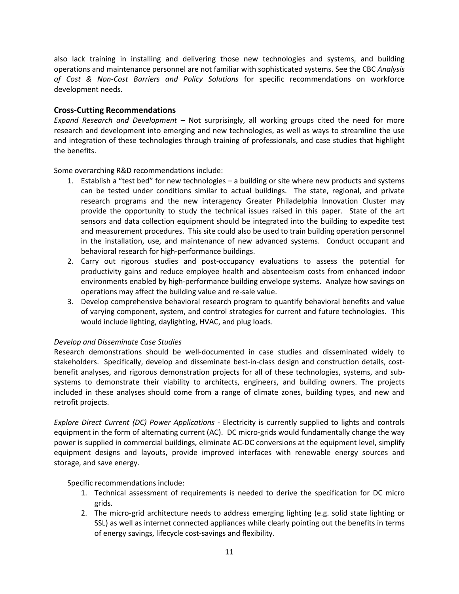also lack training in installing and delivering those new technologies and systems, and building operations and maintenance personnel are not familiar with sophisticated systems. See the CBC *Analysis of Cost & Non-Cost Barriers and Policy Solutions* for specific recommendations on workforce development needs.

#### <span id="page-10-0"></span>**Cross-Cutting Recommendations**

*Expand Research and Development* – Not surprisingly, all working groups cited the need for more research and development into emerging and new technologies, as well as ways to streamline the use and integration of these technologies through training of professionals, and case studies that highlight the benefits.

Some overarching R&D recommendations include:

- 1. Establish a "test bed" for new technologies a building or site where new products and systems can be tested under conditions similar to actual buildings. The state, regional, and private research programs and the new interagency Greater Philadelphia Innovation Cluster may provide the opportunity to study the technical issues raised in this paper. State of the art sensors and data collection equipment should be integrated into the building to expedite test and measurement procedures. This site could also be used to train building operation personnel in the installation, use, and maintenance of new advanced systems. Conduct occupant and behavioral research for high-performance buildings.
- 2. Carry out rigorous studies and post-occupancy evaluations to assess the potential for productivity gains and reduce employee health and absenteeism costs from enhanced indoor environments enabled by high-performance building envelope systems. Analyze how savings on operations may affect the building value and re-sale value.
- 3. Develop comprehensive behavioral research program to quantify behavioral benefits and value of varying component, system, and control strategies for current and future technologies. This would include lighting, daylighting, HVAC, and plug loads.

#### *Develop and Disseminate Case Studies*

Research demonstrations should be well-documented in case studies and disseminated widely to stakeholders. Specifically, develop and disseminate best-in-class design and construction details, costbenefit analyses, and rigorous demonstration projects for all of these technologies, systems, and subsystems to demonstrate their viability to architects, engineers, and building owners. The projects included in these analyses should come from a range of climate zones, building types, and new and retrofit projects.

*Explore Direct Current (DC) Power Applications* - Electricity is currently supplied to lights and controls equipment in the form of alternating current (AC). DC micro-grids would fundamentally change the way power is supplied in commercial buildings, eliminate AC-DC conversions at the equipment level, simplify equipment designs and layouts, provide improved interfaces with renewable energy sources and storage, and save energy.

Specific recommendations include:

- 1. Technical assessment of requirements is needed to derive the specification for DC micro grids.
- 2. The micro-grid architecture needs to address emerging lighting (e.g. solid state lighting or SSL) as well as internet connected appliances while clearly pointing out the benefits in terms of energy savings, lifecycle cost-savings and flexibility.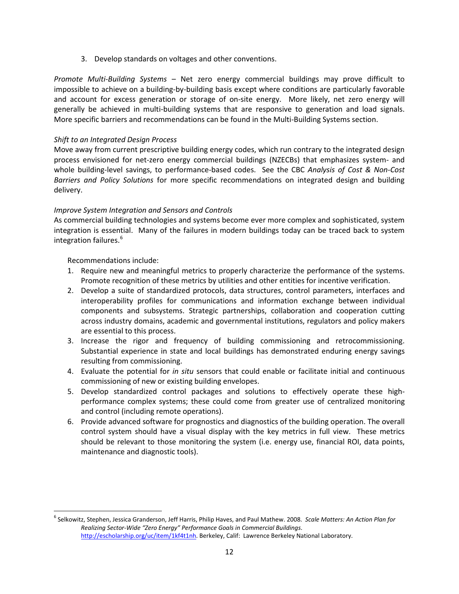3. Develop standards on voltages and other conventions.

*Promote Multi-Building Systems* – Net zero energy commercial buildings may prove difficult to impossible to achieve on a building-by-building basis except where conditions are particularly favorable and account for excess generation or storage of on-site energy. More likely, net zero energy will generally be achieved in multi-building systems that are responsive to generation and load signals. More specific barriers and recommendations can be found in the Multi-Building Systems section.

#### *Shift to an Integrated Design Process*

Move away from current prescriptive building energy codes, which run contrary to the integrated design process envisioned for net-zero energy commercial buildings (NZECBs) that emphasizes system- and whole building-level savings, to performance-based codes. See the CBC *Analysis of Cost & Non-Cost Barriers and Policy Solutions* for more specific recommendations on integrated design and building delivery.

#### *Improve System Integration and Sensors and Controls*

As commercial building technologies and systems become ever more complex and sophisticated, system integration is essential. Many of the failures in modern buildings today can be traced back to system integration failures.<sup>[6](#page-11-0)</sup>

Recommendations include:

- 1. Require new and meaningful metrics to properly characterize the performance of the systems. Promote recognition of these metrics by utilities and other entities for incentive verification.
- 2. Develop a suite of standardized protocols, data structures, control parameters, interfaces and interoperability profiles for communications and information exchange between individual components and subsystems. Strategic partnerships, collaboration and cooperation cutting across industry domains, academic and governmental institutions, regulators and policy makers are essential to this process.
- 3. Increase the rigor and frequency of building commissioning and retrocommissioning. Substantial experience in state and local buildings has demonstrated enduring energy savings resulting from commissioning.
- 4. Evaluate the potential for *in situ* sensors that could enable or facilitate initial and continuous commissioning of new or existing building envelopes.
- 5. Develop standardized control packages and solutions to effectively operate these highperformance complex systems; these could come from greater use of centralized monitoring and control (including remote operations).
- 6. Provide advanced software for prognostics and diagnostics of the building operation. The overall control system should have a visual display with the key metrics in full view. These metrics should be relevant to those monitoring the system (i.e. energy use, financial ROI, data points, maintenance and diagnostic tools).

<span id="page-11-0"></span> <sup>6</sup> Selkowitz, Stephen, Jessica Granderson, Jeff Harris, Philip Haves, and Paul Mathew. 2008. *Scale Matters: An Action Plan for Realizing Sector-Wide "Zero Energy" Performance Goals in Commercial Buildings*. [http://escholarship.org/uc/item/1kf4t1nh.](http://escholarship.org/uc/item/1kf4t1nh) Berkeley, Calif: Lawrence Berkeley National Laboratory.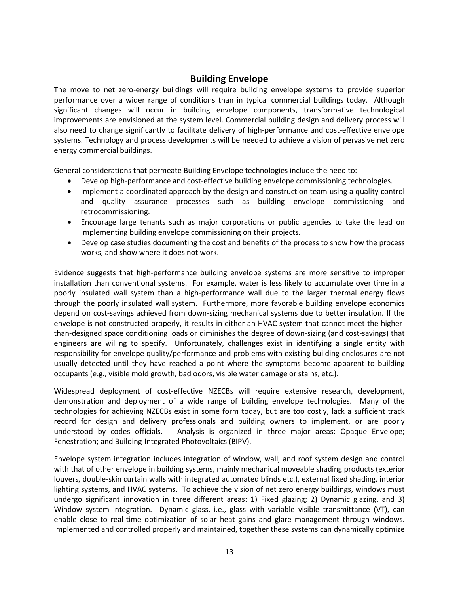## **Building Envelope**

<span id="page-12-0"></span>The move to net zero-energy buildings will require building envelope systems to provide superior performance over a wider range of conditions than in typical commercial buildings today. Although significant changes will occur in building envelope components, transformative technological improvements are envisioned at the system level. Commercial building design and delivery process will also need to change significantly to facilitate delivery of high-performance and cost-effective envelope systems. Technology and process developments will be needed to achieve a vision of pervasive net zero energy commercial buildings.

General considerations that permeate Building Envelope technologies include the need to:

- Develop high-performance and cost-effective building envelope commissioning technologies.
- Implement a coordinated approach by the design and construction team using a quality control and quality assurance processes such as building envelope commissioning and retrocommissioning.
- Encourage large tenants such as major corporations or public agencies to take the lead on implementing building envelope commissioning on their projects.
- Develop case studies documenting the cost and benefits of the process to show how the process works, and show where it does not work.

Evidence suggests that high-performance building envelope systems are more sensitive to improper installation than conventional systems. For example, water is less likely to accumulate over time in a poorly insulated wall system than a high-performance wall due to the larger thermal energy flows through the poorly insulated wall system. Furthermore, more favorable building envelope economics depend on cost-savings achieved from down-sizing mechanical systems due to better insulation. If the envelope is not constructed properly, it results in either an HVAC system that cannot meet the higherthan-designed space conditioning loads or diminishes the degree of down-sizing (and cost-savings) that engineers are willing to specify. Unfortunately, challenges exist in identifying a single entity with responsibility for envelope quality/performance and problems with existing building enclosures are not usually detected until they have reached a point where the symptoms become apparent to building occupants (e.g., visible mold growth, bad odors, visible water damage or stains, etc.).

Widespread deployment of cost-effective NZECBs will require extensive research, development, demonstration and deployment of a wide range of building envelope technologies. Many of the technologies for achieving NZECBs exist in some form today, but are too costly, lack a sufficient track record for design and delivery professionals and building owners to implement, or are poorly understood by codes officials. Analysis is organized in three major areas: Opaque Envelope; Fenestration; and Building-Integrated Photovoltaics (BIPV).

Envelope system integration includes integration of window, wall, and roof system design and control with that of other envelope in building systems, mainly mechanical moveable shading products (exterior louvers, double-skin curtain walls with integrated automated blinds etc.), external fixed shading, interior lighting systems, and HVAC systems. To achieve the vision of net zero energy buildings, windows must undergo significant innovation in three different areas: 1) Fixed glazing; 2) Dynamic glazing, and 3) Window system integration. Dynamic glass, i.e., glass with variable visible transmittance (VT), can enable close to real-time optimization of solar heat gains and glare management through windows. Implemented and controlled properly and maintained, together these systems can dynamically optimize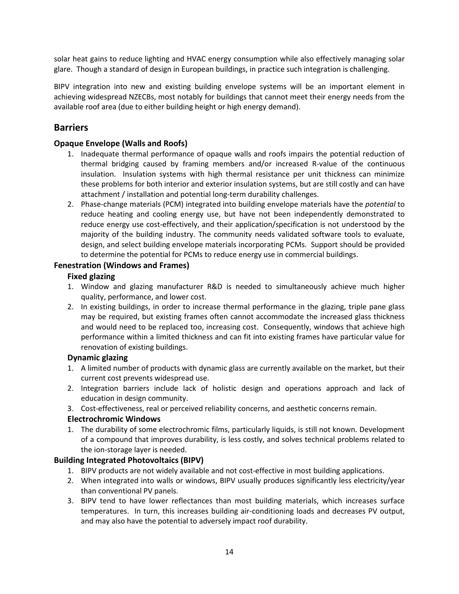solar heat gains to reduce lighting and HVAC energy consumption while also effectively managing solar glare. Though a standard of design in European buildings, in practice such integration is challenging.

BIPV integration into new and existing building envelope systems will be an important element in achieving widespread NZECBs, most notably for buildings that cannot meet their energy needs from the available roof area (due to either building height or high energy demand).

## <span id="page-13-0"></span>**Barriers**

#### **Opaque Envelope (Walls and Roofs)**

- 1. Inadequate thermal performance of opaque walls and roofs impairs the potential reduction of thermal bridging caused by framing members and/or increased R-value of the continuous insulation. Insulation systems with high thermal resistance per unit thickness can minimize these problems for both interior and exterior insulation systems, but are still costly and can have attachment / installation and potential long-term durability challenges.
- 2. Phase-change materials (PCM) integrated into building envelope materials have the *potential* to reduce heating and cooling energy use, but have not been independently demonstrated to reduce energy use cost-effectively, and their application/specification is not understood by the majority of the building industry. The community needs validated software tools to evaluate, design, and select building envelope materials incorporating PCMs. Support should be provided to determine the potential for PCMs to reduce energy use in commercial buildings.

#### **Fenestration (Windows and Frames)**

## **Fixed glazing**

- 1. Window and glazing manufacturer R&D is needed to simultaneously achieve much higher quality, performance, and lower cost.
- 2. In existing buildings, in order to increase thermal performance in the glazing, triple pane glass may be required, but existing frames often cannot accommodate the increased glass thickness and would need to be replaced too, increasing cost. Consequently, windows that achieve high performance within a limited thickness and can fit into existing frames have particular value for renovation of existing buildings.

#### **Dynamic glazing**

- 1. A limited number of products with dynamic glass are currently available on the market, but their current cost prevents widespread use.
- 2. Integration barriers include lack of holistic design and operations approach and lack of education in design community.
- 3. Cost-effectiveness, real or perceived reliability concerns, and aesthetic concerns remain.

#### **Electrochromic Windows**

1. The durability of some electrochromic films, particularly liquids, is still not known. Development of a compound that improves durability, is less costly, and solves technical problems related to the ion-storage layer is needed.

#### **Building Integrated Photovoltaics (BIPV)**

- 1. BIPV products are not widely available and not cost-effective in most building applications.
- 2. When integrated into walls or windows, BIPV usually produces significantly less electricity/year than conventional PV panels.
- 3. BIPV tend to have lower reflectances than most building materials, which increases surface temperatures. In turn, this increases building air-conditioning loads and decreases PV output, and may also have the potential to adversely impact roof durability.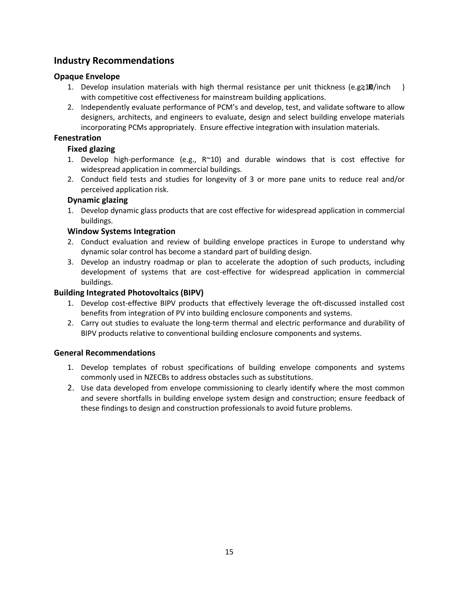## <span id="page-14-0"></span>**Industry Recommendations**

## **Opaque Envelope**

- 1. Develop insulation materials with high thermal resistance per unit thickness (e.g $\geq 100$ /inch ) with competitive cost effectiveness for mainstream building applications.
- 2. Independently evaluate performance of PCM's and develop, test, and validate software to allow designers, architects, and engineers to evaluate, design and select building envelope materials incorporating PCMs appropriately. Ensure effective integration with insulation materials.

## **Fenestration**

## **Fixed glazing**

- 1. Develop high-performance (e.g.,  $R^{\sim}10$ ) and durable windows that is cost effective for widespread application in commercial buildings.
- 2. Conduct field tests and studies for longevity of 3 or more pane units to reduce real and/or perceived application risk.

## **Dynamic glazing**

1. Develop dynamic glass products that are cost effective for widespread application in commercial buildings.

## **Window Systems Integration**

- 2. Conduct evaluation and review of building envelope practices in Europe to understand why dynamic solar control has become a standard part of building design.
- 3. Develop an industry roadmap or plan to accelerate the adoption of such products, including development of systems that are cost-effective for widespread application in commercial buildings.

## **Building Integrated Photovoltaics (BIPV)**

- 1. Develop cost-effective BIPV products that effectively leverage the oft-discussed installed cost benefits from integration of PV into building enclosure components and systems.
- 2. Carry out studies to evaluate the long-term thermal and electric performance and durability of BIPV products relative to conventional building enclosure components and systems.

#### <span id="page-14-1"></span>**General Recommendations**

- 1. Develop templates of robust specifications of building envelope components and systems commonly used in NZECBs to address obstacles such as substitutions.
- 2. Use data developed from envelope commissioning to clearly identify where the most common and severe shortfalls in building envelope system design and construction; ensure feedback of these findings to design and construction professionals to avoid future problems.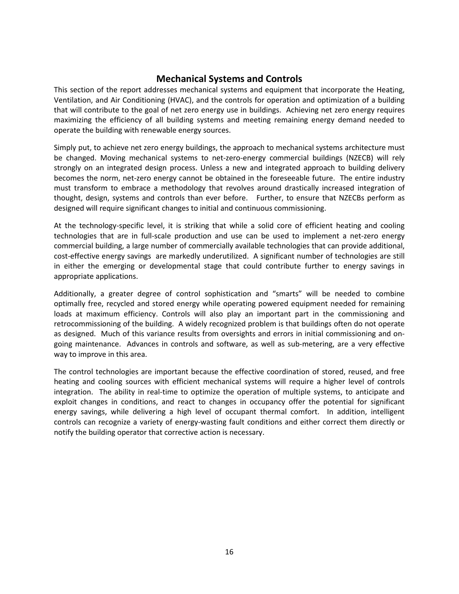## **Mechanical Systems and Controls**

<span id="page-15-0"></span>This section of the report addresses mechanical systems and equipment that incorporate the Heating, Ventilation, and Air Conditioning (HVAC), and the controls for operation and optimization of a building that will contribute to the goal of net zero energy use in buildings. Achieving net zero energy requires maximizing the efficiency of all building systems and meeting remaining energy demand needed to operate the building with renewable energy sources.

Simply put, to achieve net zero energy buildings, the approach to mechanical systems architecture must be changed. Moving mechanical systems to net-zero-energy commercial buildings (NZECB) will rely strongly on an integrated design process. Unless a new and integrated approach to building delivery becomes the norm, net-zero energy cannot be obtained in the foreseeable future. The entire industry must transform to embrace a methodology that revolves around drastically increased integration of thought, design, systems and controls than ever before. Further, to ensure that NZECBs perform as designed will require significant changes to initial and continuous commissioning.

At the technology-specific level, it is striking that while a solid core of efficient heating and cooling technologies that are in full-scale production and use can be used to implement a net-zero energy commercial building, a large number of commercially available technologies that can provide additional, cost-effective energy savings are markedly underutilized. A significant number of technologies are still in either the emerging or developmental stage that could contribute further to energy savings in appropriate applications.

Additionally, a greater degree of control sophistication and "smarts" will be needed to combine optimally free, recycled and stored energy while operating powered equipment needed for remaining loads at maximum efficiency. Controls will also play an important part in the commissioning and retrocommissioning of the building. A widely recognized problem is that buildings often do not operate as designed. Much of this variance results from oversights and errors in initial commissioning and ongoing maintenance. Advances in controls and software, as well as sub-metering, are a very effective way to improve in this area.

The control technologies are important because the effective coordination of stored, reused, and free heating and cooling sources with efficient mechanical systems will require a higher level of controls integration. The ability in real-time to optimize the operation of multiple systems, to anticipate and exploit changes in conditions, and react to changes in occupancy offer the potential for significant energy savings, while delivering a high level of occupant thermal comfort. In addition, intelligent controls can recognize a variety of energy-wasting fault conditions and either correct them directly or notify the building operator that corrective action is necessary.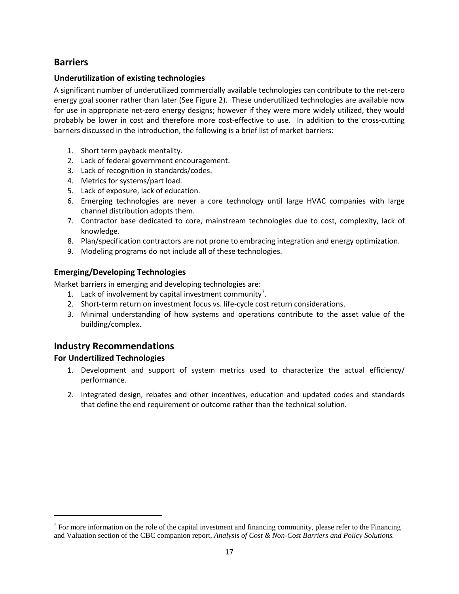## <span id="page-16-0"></span>**Barriers**

## **Underutilization of existing technologies**

A significant number of underutilized commercially available technologies can contribute to the net-zero energy goal sooner rather than later (See Figure 2). These underutilized technologies are available now for use in appropriate net-zero energy designs; however if they were more widely utilized, they would probably be lower in cost and therefore more cost-effective to use. In addition to the cross-cutting barriers discussed in the introduction, the following is a brief list of market barriers:

- 1. Short term payback mentality.
- 2. Lack of federal government encouragement.
- 3. Lack of recognition in standards/codes.
- 4. Metrics for systems/part load.
- 5. Lack of exposure, lack of education.
- 6. Emerging technologies are never a core technology until large HVAC companies with large channel distribution adopts them.
- 7. Contractor base dedicated to core, mainstream technologies due to cost, complexity, lack of knowledge.
- 8. Plan/specification contractors are not prone to embracing integration and energy optimization.
- 9. Modeling programs do not include all of these technologies.

## **Emerging/Developing Technologies**

Market barriers in emerging and developing technologies are:

- 1. Lack of involvement by capital investment community<sup>[7](#page-16-2)</sup>.
- 2. Short-term return on investment focus vs. life-cycle cost return considerations.
- 3. Minimal understanding of how systems and operations contribute to the asset value of the building/complex.

## <span id="page-16-1"></span>**Industry Recommendations**

## **For Undertilized Technologies**

 $\overline{\phantom{0}}$ 

- 1. Development and support of system metrics used to characterize the actual efficiency/ performance.
- 2. Integrated design, rebates and other incentives, education and updated codes and standards that define the end requirement or outcome rather than the technical solution.

<span id="page-16-2"></span> $<sup>7</sup>$  For more information on the role of the capital investment and financing community, please refer to the Financing</sup> and Valuation section of the CBC companion report, *Analysis of Cost & Non-Cost Barriers and Policy Solutions.*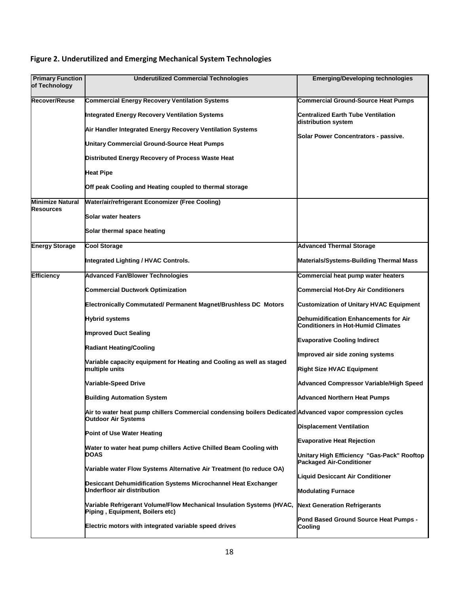| <b>Primary Function</b><br>of Technology | <b>Underutilized Commercial Technologies</b>                                                                                            | <b>Emerging/Developing technologies</b>                                            |
|------------------------------------------|-----------------------------------------------------------------------------------------------------------------------------------------|------------------------------------------------------------------------------------|
| Recover/Reuse                            | <b>Commercial Energy Recovery Ventilation Systems</b>                                                                                   | Commercial Ground-Source Heat Pumps                                                |
|                                          | Integrated Energy Recovery Ventilation Systems                                                                                          | Centralized Earth Tube Ventilation<br>distribution system                          |
|                                          | Air Handler Integrated Energy Recovery Ventilation Systems                                                                              | Solar Power Concentrators - passive.                                               |
|                                          | <b>Unitary Commercial Ground-Source Heat Pumps</b>                                                                                      |                                                                                    |
|                                          | Distributed Energy Recovery of Process Waste Heat                                                                                       |                                                                                    |
|                                          | <b>Heat Pipe</b>                                                                                                                        |                                                                                    |
|                                          | Off peak Cooling and Heating coupled to thermal storage                                                                                 |                                                                                    |
| <b>Minimize Natural</b><br>Resources     | Water/air/refrigerant Economizer (Free Cooling)                                                                                         |                                                                                    |
|                                          | Solar water heaters                                                                                                                     |                                                                                    |
|                                          | Solar thermal space heating                                                                                                             |                                                                                    |
| <b>Energy Storage</b>                    | <b>Cool Storage</b>                                                                                                                     | <b>Advanced Thermal Storage</b>                                                    |
|                                          | Integrated Lighting / HVAC Controls.                                                                                                    | Materials/Systems-Building Thermal Mass                                            |
| <b>Efficiency</b>                        | <b>Advanced Fan/Blower Technologies</b>                                                                                                 | Commercial heat pump water heaters                                                 |
|                                          | <b>Commercial Ductwork Optimization</b>                                                                                                 | <b>Commercial Hot-Dry Air Conditioners</b>                                         |
|                                          | Electronically Commutated/ Permanent Magnet/Brushless DC Motors                                                                         | <b>Customization of Unitary HVAC Equipment</b>                                     |
|                                          | <b>Hybrid systems</b>                                                                                                                   | Dehumidification Enhancements for Air<br><b>Conditioners in Hot-Humid Climates</b> |
|                                          | <b>Improved Duct Sealing</b>                                                                                                            | <b>Evaporative Cooling Indirect</b>                                                |
|                                          | <b>Radiant Heating/Cooling</b><br>Variable capacity equipment for Heating and Cooling as well as staged<br>multiple units               | Improved air side zoning systems                                                   |
|                                          |                                                                                                                                         | <b>Right Size HVAC Equipment</b>                                                   |
|                                          | Variable-Speed Drive                                                                                                                    | <b>Advanced Compressor Variable/High Speed</b>                                     |
|                                          | <b>Building Automation System</b>                                                                                                       | <b>Advanced Northern Heat Pumps</b>                                                |
|                                          | Air to water heat pump chillers Commercial condensing boilers Dedicated Advanced vapor compression cycles<br><b>Outdoor Air Systems</b> |                                                                                    |
|                                          | <b>Point of Use Water Heating</b>                                                                                                       | <b>Displacement Ventilation</b>                                                    |
|                                          | Water to water heat pump chillers Active Chilled Beam Cooling with                                                                      | <b>Evaporative Heat Rejection</b>                                                  |
|                                          | <b>DOAS</b>                                                                                                                             | Unitary High Efficiency "Gas-Pack" Rooftop<br><b>Packaged Air-Conditioner</b>      |
|                                          | (to reduce OA) Wariable water Missing Darian System System Surian II                                                                    | <b>Liquid Desiccant Air Conditioner</b>                                            |
|                                          | Desiccant Dehumidification Systems Microchannel Heat Exchanger<br>Underfloor air distribution                                           | <b>Modulating Furnace</b>                                                          |
|                                          | Variable Refrigerant Volume/Flow Mechanical Insulation Systems (HVAC,<br>Piping, Equipment, Boilers etc)                                | <b>Next Generation Refrigerants</b>                                                |
|                                          | Electric motors with integrated variable speed drives                                                                                   | Pond Based Ground Source Heat Pumps -<br>Cooling                                   |

## **Figure 2. Underutilized and Emerging Mechanical System Technologies**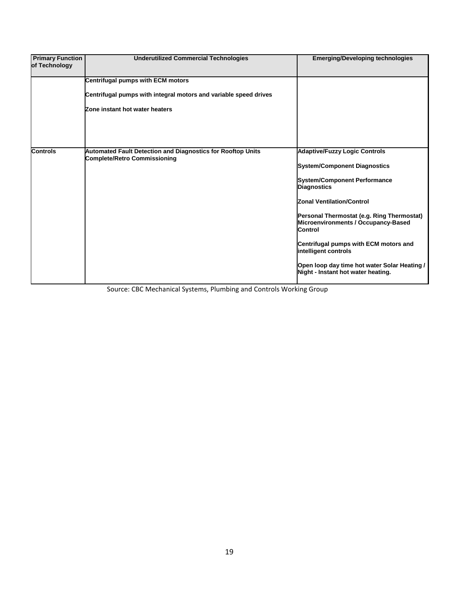| <b>Primary Function</b><br>of Technology | <b>Underutilized Commercial Technologies</b>                                                              | <b>Emerging/Developing technologies</b>                                                      |
|------------------------------------------|-----------------------------------------------------------------------------------------------------------|----------------------------------------------------------------------------------------------|
|                                          | <b>Centrifugal pumps with ECM motors</b>                                                                  |                                                                                              |
|                                          | Centrifugal pumps with integral motors and variable speed drives                                          |                                                                                              |
|                                          | Zone instant hot water heaters                                                                            |                                                                                              |
| <b>Controls</b>                          | <b>Automated Fault Detection and Diagnostics for Rooftop Units</b><br><b>Complete/Retro Commissioning</b> | <b>Adaptive/Fuzzy Logic Controls</b>                                                         |
|                                          |                                                                                                           | <b>System/Component Diagnostics</b>                                                          |
|                                          |                                                                                                           | <b>System/Component Performance</b><br><b>Diagnostics</b>                                    |
|                                          |                                                                                                           | <b>Zonal Ventilation/Control</b>                                                             |
|                                          |                                                                                                           | Personal Thermostat (e.g. Ring Thermostat)<br>Microenvironments / Occupancy-Based<br>Control |
|                                          |                                                                                                           | Centrifugal pumps with ECM motors and<br>intelligent controls                                |
|                                          |                                                                                                           | Open loop day time hot water Solar Heating /<br>Night - Instant hot water heating.           |

Source: CBC Mechanical Systems, Plumbing and Controls Working Group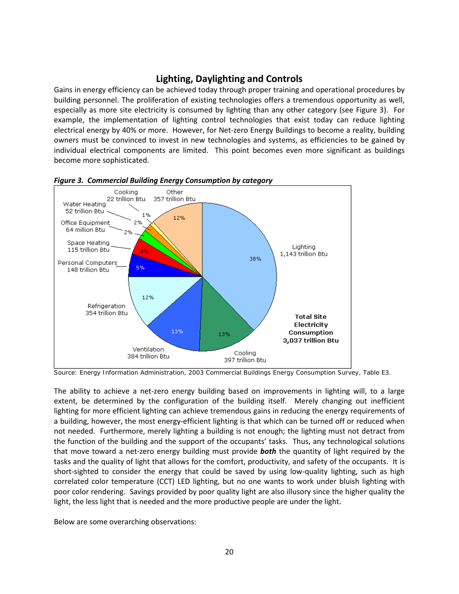## **Lighting, Daylighting and Controls**

<span id="page-19-0"></span>Gains in energy efficiency can be achieved today through proper training and operational procedures by building personnel. The proliferation of existing technologies offers a tremendous opportunity as well, especially as more site electricity is consumed by lighting than any other category (see Figure 3). For example, the implementation of lighting control technologies that exist today can reduce lighting electrical energy by 40% or more. However, for Net-zero Energy Buildings to become a reality, building owners must be convinced to invest in new technologies and systems, as efficiencies to be gained by individual electrical components are limited. This point becomes even more significant as buildings become more sophisticated.



*Figure 3. Commercial Building Energy Consumption by category* 

The ability to achieve a net-zero energy building based on improvements in lighting will, to a large extent, be determined by the configuration of the building itself. Merely changing out inefficient lighting for more efficient lighting can achieve tremendous gains in reducing the energy requirements of a building, however, the most energy-efficient lighting is that which can be turned off or reduced when not needed. Furthermore, merely lighting a building is not enough; the lighting must not detract from the function of the building and the support of the occupants' tasks. Thus, any technological solutions that move toward a net-zero energy building must provide *both* the quantity of light required by the tasks and the quality of light that allows for the comfort, productivity, and safety of the occupants. It is short-sighted to consider the energy that could be saved by using low-quality lighting, such as high correlated color temperature (CCT) LED lighting, but no one wants to work under bluish lighting with poor color rendering. Savings provided by poor quality light are also illusory since the higher quality the light, the less light that is needed and the more productive people are under the light.

Below are some overarching observations:

Source: Energy Information Administration, 2003 Commercial Buildings Energy Consumption Survey, [Table E3.](http://www.eia.doe.gov/emeu/cbecs/cbecs2003/detailed_tables_2003/detailed_tables_2003.html#enduse03)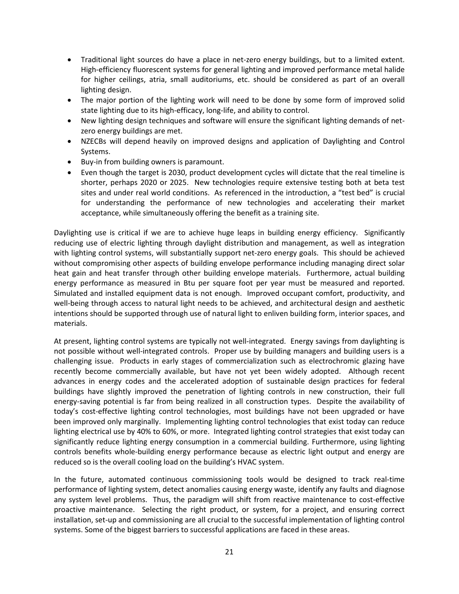- Traditional light sources do have a place in net-zero energy buildings, but to a limited extent. High-efficiency fluorescent systems for general lighting and improved performance metal halide for higher ceilings, atria, small auditoriums, etc. should be considered as part of an overall lighting design.
- The major portion of the lighting work will need to be done by some form of improved solid state lighting due to its high-efficacy, long-life, and ability to control.
- New lighting design techniques and software will ensure the significant lighting demands of netzero energy buildings are met.
- NZECBs will depend heavily on improved designs and application of Daylighting and Control Systems.
- Buy-in from building owners is paramount.
- Even though the target is 2030, product development cycles will dictate that the real timeline is shorter, perhaps 2020 or 2025. New technologies require extensive testing both at beta test sites and under real world conditions. As referenced in the introduction, a "test bed" is crucial for understanding the performance of new technologies and accelerating their market acceptance, while simultaneously offering the benefit as a training site.

Daylighting use is critical if we are to achieve huge leaps in building energy efficiency. Significantly reducing use of electric lighting through daylight distribution and management, as well as integration with lighting control systems, will substantially support net-zero energy goals. This should be achieved without compromising other aspects of building envelope performance including managing direct solar heat gain and heat transfer through other building envelope materials. Furthermore, actual building energy performance as measured in Btu per square foot per year must be measured and reported. Simulated and installed equipment data is not enough. Improved occupant comfort, productivity, and well-being through access to natural light needs to be achieved, and architectural design and aesthetic intentions should be supported through use of natural light to enliven building form, interior spaces, and materials.

At present, lighting control systems are typically not well-integrated. Energy savings from daylighting is not possible without well-integrated controls. Proper use by building managers and building users is a challenging issue. Products in early stages of commercialization such as electrochromic glazing have recently become commercially available, but have not yet been widely adopted. Although recent advances in energy codes and the accelerated adoption of sustainable design practices for federal buildings have slightly improved the penetration of lighting controls in new construction, their full energy-saving potential is far from being realized in all construction types. Despite the availability of today's cost-effective lighting control technologies, most buildings have not been upgraded or have been improved only marginally. Implementing lighting control technologies that exist today can reduce lighting electrical use by 40% to 60%, or more. Integrated lighting control strategies that exist today can significantly reduce lighting energy consumption in a commercial building. Furthermore, using lighting controls benefits whole-building energy performance because as electric light output and energy are reduced so is the overall cooling load on the building's HVAC system.

In the future, automated continuous commissioning tools would be designed to track real-time performance of lighting system, detect anomalies causing energy waste, identify any faults and diagnose any system level problems. Thus, the paradigm will shift from reactive maintenance to cost-effective proactive maintenance. Selecting the right product, or system, for a project, and ensuring correct installation, set-up and commissioning are all crucial to the successful implementation of lighting control systems. Some of the biggest barriers to successful applications are faced in these areas.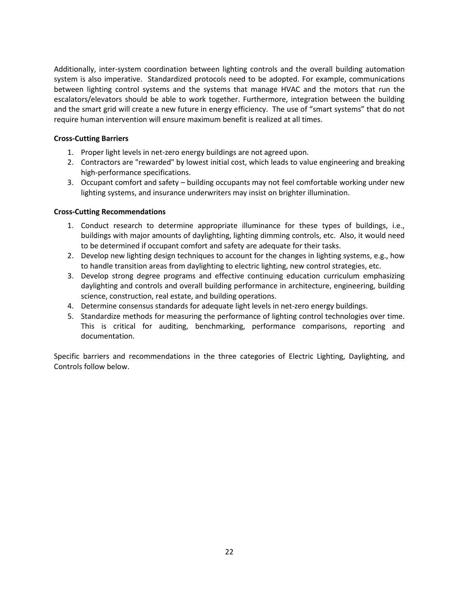Additionally, inter-system coordination between lighting controls and the overall building automation system is also imperative. Standardized protocols need to be adopted. For example, communications between lighting control systems and the systems that manage HVAC and the motors that run the escalators/elevators should be able to work together. Furthermore, integration between the building and the smart grid will create a new future in energy efficiency. The use of "smart systems" that do not require human intervention will ensure maximum benefit is realized at all times.

#### <span id="page-21-0"></span>**Cross-Cutting Barriers**

- 1. Proper light levels in net-zero energy buildings are not agreed upon.
- 2. Contractors are "rewarded" by lowest initial cost, which leads to value engineering and breaking high-performance specifications.
- 3. Occupant comfort and safety building occupants may not feel comfortable working under new lighting systems, and insurance underwriters may insist on brighter illumination.

#### <span id="page-21-1"></span>**Cross-Cutting Recommendations**

- 1. Conduct research to determine appropriate illuminance for these types of buildings, i.e., buildings with major amounts of daylighting, lighting dimming controls, etc. Also, it would need to be determined if occupant comfort and safety are adequate for their tasks.
- 2. Develop new lighting design techniques to account for the changes in lighting systems, e.g., how to handle transition areas from daylighting to electric lighting, new control strategies, etc.
- 3. Develop strong degree programs and effective continuing education curriculum emphasizing daylighting and controls and overall building performance in architecture, engineering, building science, construction, real estate, and building operations.
- 4. Determine consensus standards for adequate light levels in net-zero energy buildings.
- 5. Standardize methods for measuring the performance of lighting control technologies over time. This is critical for auditing, benchmarking, performance comparisons, reporting and documentation.

Specific barriers and recommendations in the three categories of Electric Lighting, Daylighting, and Controls follow below.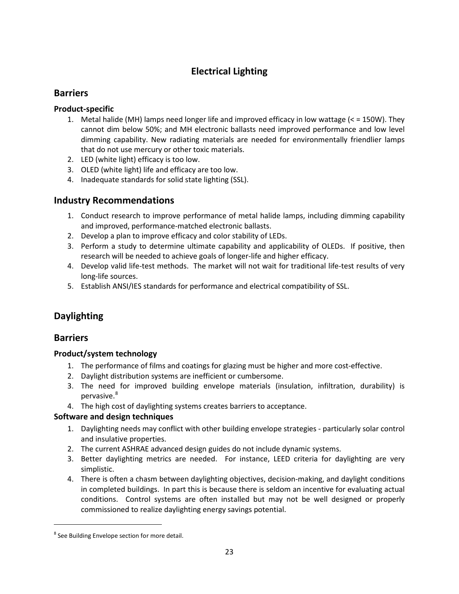## **Electrical Lighting**

## <span id="page-22-1"></span><span id="page-22-0"></span>**Barriers**

## **Product-specific**

- 1. Metal halide (MH) lamps need longer life and improved efficacy in low wattage (< = 150W). They cannot dim below 50%; and MH electronic ballasts need improved performance and low level dimming capability. New radiating materials are needed for environmentally friendlier lamps that do not use mercury or other toxic materials.
- 2. LED (white light) efficacy is too low.
- 3. OLED (white light) life and efficacy are too low.
- 4. Inadequate standards for solid state lighting (SSL).

## <span id="page-22-2"></span>**Industry Recommendations**

- 1. Conduct research to improve performance of metal halide lamps, including dimming capability and improved, performance-matched electronic ballasts.
- 2. Develop a plan to improve efficacy and color stability of LEDs.
- 3. Perform a study to determine ultimate capability and applicability of OLEDs. If positive, then research will be needed to achieve goals of longer-life and higher efficacy.
- 4. Develop valid life-test methods. The market will not wait for traditional life-test results of very long-life sources.
- <span id="page-22-3"></span>5. Establish ANSI/IES standards for performance and electrical compatibility of SSL.

## **Daylighting**

## <span id="page-22-4"></span>**Barriers**

## **Product/system technology**

- 1. The performance of films and coatings for glazing must be higher and more cost-effective.
- 2. Daylight distribution systems are inefficient or cumbersome.
- 3. The need for improved building envelope materials (insulation, infiltration, durability) is pervasive.<sup>[8](#page-22-5)</sup>
- 4. The high cost of daylighting systems creates barriers to acceptance.

## **Software and design techniques**

- 1. Daylighting needs may conflict with other building envelope strategies particularly solar control and insulative properties.
- 2. The current ASHRAE advanced design guides do not include dynamic systems.
- 3. Better daylighting metrics are needed. For instance, LEED criteria for daylighting are very simplistic.
- 4. There is often a chasm between daylighting objectives, decision-making, and daylight conditions in completed buildings. In part this is because there is seldom an incentive for evaluating actual conditions. Control systems are often installed but may not be well designed or properly commissioned to realize daylighting energy savings potential.

<span id="page-22-5"></span><sup>&</sup>lt;sup>8</sup> See Building Envelope section for more detail.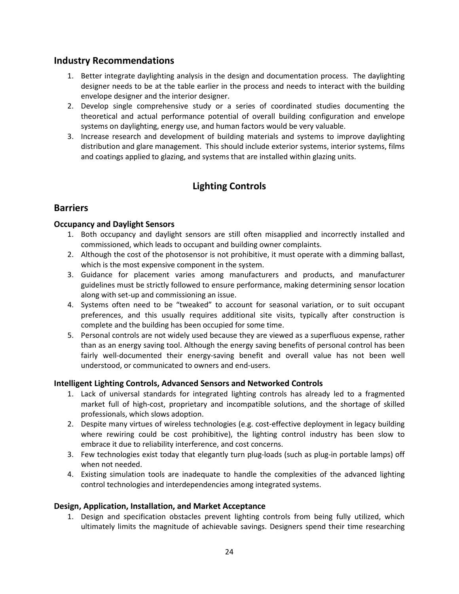## <span id="page-23-0"></span>**Industry Recommendations**

- 1. Better integrate daylighting analysis in the design and documentation process. The daylighting designer needs to be at the table earlier in the process and needs to interact with the building envelope designer and the interior designer.
- 2. Develop single comprehensive study or a series of coordinated studies documenting the theoretical and actual performance potential of overall building configuration and envelope systems on daylighting, energy use, and human factors would be very valuable.
- <span id="page-23-1"></span>3. Increase research and development of building materials and systems to improve daylighting distribution and glare management. This should include exterior systems, interior systems, films and coatings applied to glazing, and systems that are installed within glazing units.

## **Lighting Controls**

## <span id="page-23-2"></span>**Barriers**

#### **Occupancy and Daylight Sensors**

- 1. Both occupancy and daylight sensors are still often misapplied and incorrectly installed and commissioned, which leads to occupant and building owner complaints.
- 2. Although the cost of the photosensor is not prohibitive, it must operate with a dimming ballast, which is the most expensive component in the system.
- 3. Guidance for placement varies among manufacturers and products, and manufacturer guidelines must be strictly followed to ensure performance, making determining sensor location along with set-up and commissioning an issue.
- 4. Systems often need to be "tweaked" to account for seasonal variation, or to suit occupant preferences, and this usually requires additional site visits, typically after construction is complete and the building has been occupied for some time.
- 5. Personal controls are not widely used because they are viewed as a superfluous expense, rather than as an energy saving tool. Although the energy saving benefits of personal control has been fairly well-documented their energy-saving benefit and overall value has not been well understood, or communicated to owners and end-users.

#### **Intelligent Lighting Controls, Advanced Sensors and Networked Controls**

- 1. Lack of universal standards for integrated lighting controls has already led to a fragmented market full of high-cost, proprietary and incompatible solutions, and the shortage of skilled professionals, which slows adoption.
- 2. Despite many virtues of wireless technologies (e.g. cost-effective deployment in legacy building where rewiring could be cost prohibitive), the lighting control industry has been slow to embrace it due to reliability interference, and cost concerns.
- 3. Few technologies exist today that elegantly turn plug-loads (such as plug-in portable lamps) off when not needed.
- 4. Existing simulation tools are inadequate to handle the complexities of the advanced lighting control technologies and interdependencies among integrated systems.

#### **Design, Application, Installation, and Market Acceptance**

1. Design and specification obstacles prevent lighting controls from being fully utilized, which ultimately limits the magnitude of achievable savings. Designers spend their time researching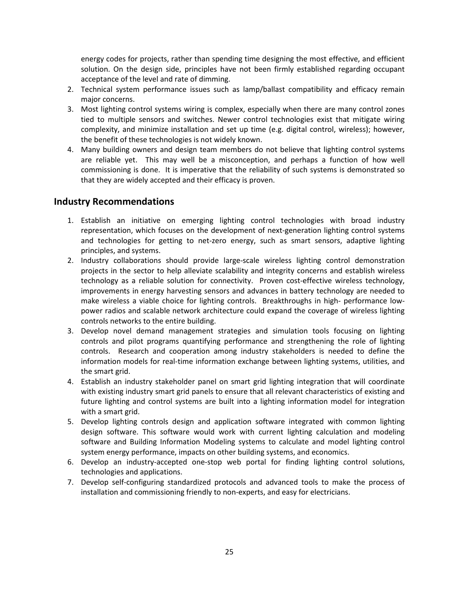energy codes for projects, rather than spending time designing the most effective, and efficient solution. On the design side, principles have not been firmly established regarding occupant acceptance of the level and rate of dimming.

- 2. Technical system performance issues such as lamp/ballast compatibility and efficacy remain major concerns.
- 3. Most lighting control systems wiring is complex, especially when there are many control zones tied to multiple sensors and switches. Newer control technologies exist that mitigate wiring complexity, and minimize installation and set up time (e.g. digital control, wireless); however, the benefit of these technologies is not widely known.
- 4. Many building owners and design team members do not believe that lighting control systems are reliable yet. This may well be a misconception, and perhaps a function of how well commissioning is done. It is imperative that the reliability of such systems is demonstrated so that they are widely accepted and their efficacy is proven.

## <span id="page-24-0"></span>**Industry Recommendations**

- 1. Establish an initiative on emerging lighting control technologies with broad industry representation, which focuses on the development of next-generation lighting control systems and technologies for getting to net-zero energy, such as smart sensors, adaptive lighting principles, and systems.
- 2. Industry collaborations should provide large-scale wireless lighting control demonstration projects in the sector to help alleviate scalability and integrity concerns and establish wireless technology as a reliable solution for connectivity. Proven cost-effective wireless technology, improvements in energy harvesting sensors and advances in battery technology are needed to make wireless a viable choice for lighting controls. Breakthroughs in high- performance lowpower radios and scalable network architecture could expand the coverage of wireless lighting controls networks to the entire building.
- 3. Develop novel demand management strategies and simulation tools focusing on lighting controls and pilot programs quantifying performance and strengthening the role of lighting controls. Research and cooperation among industry stakeholders is needed to define the information models for real-time information exchange between lighting systems, utilities, and the smart grid.
- 4. Establish an industry stakeholder panel on smart grid lighting integration that will coordinate with existing industry smart grid panels to ensure that all relevant characteristics of existing and future lighting and control systems are built into a lighting information model for integration with a smart grid.
- 5. Develop lighting controls design and application software integrated with common lighting design software. This software would work with current lighting calculation and modeling software and Building Information Modeling systems to calculate and model lighting control system energy performance, impacts on other building systems, and economics.
- 6. Develop an industry-accepted one-stop web portal for finding lighting control solutions, technologies and applications.
- 7. Develop self-configuring standardized protocols and advanced tools to make the process of installation and commissioning friendly to non-experts, and easy for electricians.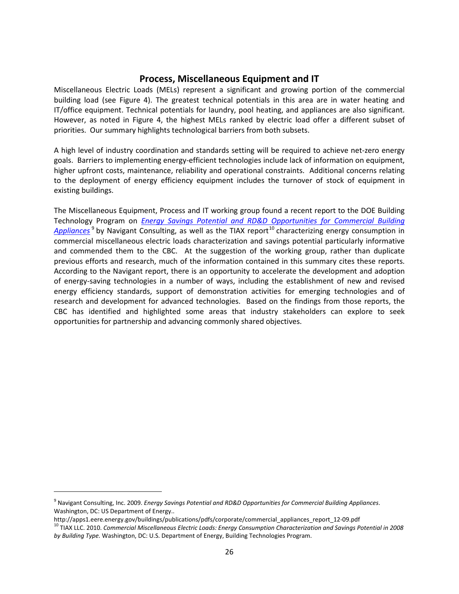#### **Process, Miscellaneous Equipment and IT**

<span id="page-25-0"></span>Miscellaneous Electric Loads (MELs) represent a significant and growing portion of the commercial building load (see Figure 4). The greatest technical potentials in this area are in water heating and IT/office equipment. Technical potentials for laundry, pool heating, and appliances are also significant. However, as noted in Figure 4, the highest MELs ranked by electric load offer a different subset of priorities. Our summary highlights technological barriers from both subsets.

A high level of industry coordination and standards setting will be required to achieve net-zero energy goals. Barriers to implementing energy-efficient technologies include lack of information on equipment, higher upfront costs, maintenance, reliability and operational constraints. Additional concerns relating to the deployment of energy efficiency equipment includes the turnover of stock of equipment in existing buildings.

The Miscellaneous Equipment, Process and IT working group found a recent report to the DOE Building Technology Program on *[Energy Savings Potential and RD&D Opportunities for Commercial Building](http://apps1.eere.energy.gov/buildings/publications/pdfs/corporate/commercial_appliances_report_12-09.pdf)  [Appliances](http://apps1.eere.energy.gov/buildings/publications/pdfs/corporate/commercial_appliances_report_12-09.pdf)*<sup>[9](#page-25-1)</sup> by Navigant Consulting, as well as the TIAX report<sup>[10](#page-25-2)</sup> characterizing energy consumption in commercial miscellaneous electric loads characterization and savings potential particularly informative and commended them to the CBC. At the suggestion of the working group, rather than duplicate previous efforts and research, much of the information contained in this summary cites these reports. According to the Navigant report, there is an opportunity to accelerate the development and adoption of energy-saving technologies in a number of ways, including the establishment of new and revised energy efficiency standards, support of demonstration activities for emerging technologies and of research and development for advanced technologies. Based on the findings from those reports, the CBC has identified and highlighted some areas that industry stakeholders can explore to seek opportunities for partnership and advancing commonly shared objectives.

 $\overline{\phantom{0}}$ 

<span id="page-25-1"></span><sup>9</sup> Navigant Consulting, Inc. 2009. *Energy Savings Potential and RD&D Opportunities for Commercial Building Appliances*. Washington, DC: US Department of Energy..<br>http://apps1.eere.energy.gov/buildings/publications/pdfs/corporate/commercial appliances report 12-09.pdf

<span id="page-25-2"></span><sup>&</sup>lt;sup>10</sup> TIAX LLC. 2010. Commercial Miscellaneous Electric Loads: Energy Consumption Characterization and Savings Potential in 2008 *by Building Type.* Washington, DC: U.S. Department of Energy, Building Technologies Program.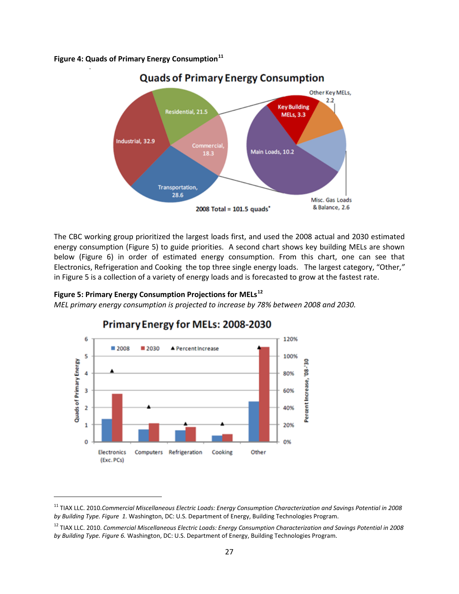**Figure 4: Quads of Primary Energy Consumption[11](#page-26-0)**



**Quads of Primary Energy Consumption** 

The CBC working group prioritized the largest loads first, and used the 2008 actual and 2030 estimated energy consumption (Figure 5) to guide priorities. A second chart shows key building MELs are shown below (Figure 6) in order of estimated energy consumption. From this chart, one can see that Electronics, Refrigeration and Cooking the top three single energy loads. The largest category, "Other,*"* in Figure 5 is a collection of a variety of energy loads and is forecasted to grow at the fastest rate.

#### **Figure 5: Primary Energy Consumption Projections for MELs[12](#page-26-1)**

ı

*MEL primary energy consumption is projected to increase by 78% between 2008 and 2030.* 



## Primary Energy for MELs: 2008-2030

<span id="page-26-0"></span><sup>11</sup> TIAX LLC. 2010.*Commercial Miscellaneous Electric Loads: Energy Consumption Characterization and Savings Potential in 2008 by Building Type. Figure 1.* Washington, DC: U.S. Department of Energy, Building Technologies Program.

<span id="page-26-1"></span><sup>12</sup> TIAX LLC. 2010. *Commercial Miscellaneous Electric Loads: Energy Consumption Characterization and Savings Potential in 2008 by Building Type. Figure 6.* Washington, DC: U.S. Department of Energy, Building Technologies Program.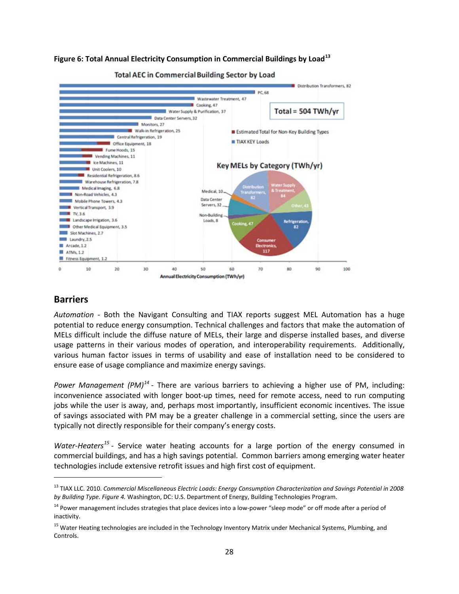#### **Figure 6: Total Annual Electricity Consumption in Commercial Buildings by Load[13](#page-27-1)**



**Total AEC in Commercial Building Sector by Load** 

## <span id="page-27-0"></span>**Barriers**

l

*Automation* - Both the Navigant Consulting and TIAX reports suggest MEL Automation has a huge potential to reduce energy consumption. Technical challenges and factors that make the automation of MELs difficult include the diffuse nature of MELs, their large and disperse installed bases, and diverse usage patterns in their various modes of operation, and interoperability requirements. Additionally, various human factor issues in terms of usability and ease of installation need to be considered to ensure ease of usage compliance and maximize energy savings.

*Power Management (PM)[14](#page-27-2)* - There are various barriers to achieving a higher use of PM, including: inconvenience associated with longer boot-up times, need for remote access, need to run computing jobs while the user is away, and, perhaps most importantly, insufficient economic incentives. The issue of savings associated with PM may be a greater challenge in a commercial setting, since the users are typically not directly responsible for their company's energy costs.

Water-Heaters<sup>[15](#page-27-3)</sup> - Service water heating accounts for a large portion of the energy consumed in commercial buildings, and has a high savings potential. Common barriers among emerging water heater technologies include extensive retrofit issues and high first cost of equipment.

<span id="page-27-1"></span><sup>13</sup> TIAX LLC. 2010. *Commercial Miscellaneous Electric Loads: Energy Consumption Characterization and Savings Potential in 2008 by Building Type. Figure 4.* Washington, DC: U.S. Department of Energy, Building Technologies Program.

<span id="page-27-2"></span><sup>&</sup>lt;sup>14</sup> Power management includes strategies that place devices into a low-power "sleep mode" or off mode after a period of inactivity.

<span id="page-27-3"></span><sup>&</sup>lt;sup>15</sup> Water Heating technologies are included in the Technology Inventory Matrix under Mechanical Systems, Plumbing, and Controls.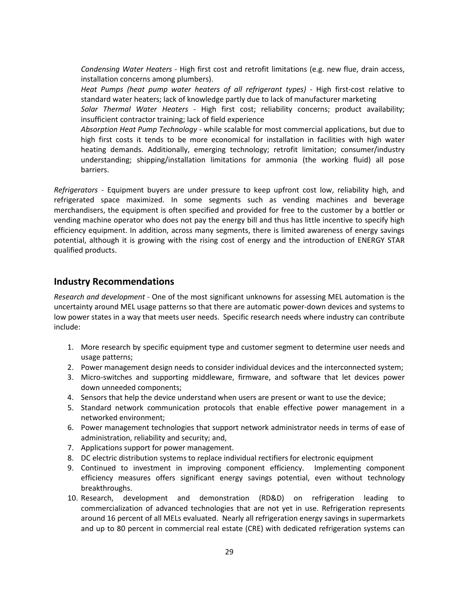*Condensing Water Heaters* - High first cost and retrofit limitations (e.g. new flue, drain access, installation concerns among plumbers).

*Heat Pumps (heat pump water heaters of all refrigerant types)* - High first-cost relative to standard water heaters; lack of knowledge partly due to lack of manufacturer marketing

*Solar Thermal Water Heaters* - High first cost; reliability concerns; product availability; insufficient contractor training; lack of field experience

*Absorption Heat Pump Technology* - while scalable for most commercial applications, but due to high first costs it tends to be more economical for installation in facilities with high water heating demands. Additionally, emerging technology; retrofit limitation; consumer/industry understanding; shipping/installation limitations for ammonia (the working fluid) all pose barriers.

*Refrigerators* - Equipment buyers are under pressure to keep upfront cost low, reliability high, and refrigerated space maximized. In some segments such as vending machines and beverage merchandisers, the equipment is often specified and provided for free to the customer by a bottler or vending machine operator who does not pay the energy bill and thus has little incentive to specify high efficiency equipment. In addition, across many segments, there is limited awareness of energy savings potential, although it is growing with the rising cost of energy and the introduction of ENERGY STAR qualified products.

## <span id="page-28-0"></span>**Industry Recommendations**

*Research and development* - One of the most significant unknowns for assessing MEL automation is the uncertainty around MEL usage patterns so that there are automatic power-down devices and systems to low power states in a way that meets user needs. Specific research needs where industry can contribute include:

- 1. More research by specific equipment type and customer segment to determine user needs and usage patterns;
- 2. Power management design needs to consider individual devices and the interconnected system;
- 3. Micro-switches and supporting middleware, firmware, and software that let devices power down unneeded components;
- 4. Sensors that help the device understand when users are present or want to use the device;
- 5. Standard network communication protocols that enable effective power management in a networked environment;
- 6. Power management technologies that support network administrator needs in terms of ease of administration, reliability and security; and,
- 7. Applications support for power management.
- 8. DC electric distribution systems to replace individual rectifiers for electronic equipment
- 9. Continued to investment in improving component efficiency. Implementing component efficiency measures offers significant energy savings potential, even without technology breakthroughs.
- 10. Research, development and demonstration (RD&D) on refrigeration leading to commercialization of advanced technologies that are not yet in use. Refrigeration represents around 16 percent of all MELs evaluated. Nearly all refrigeration energy savings in supermarkets and up to 80 percent in commercial real estate (CRE) with dedicated refrigeration systems can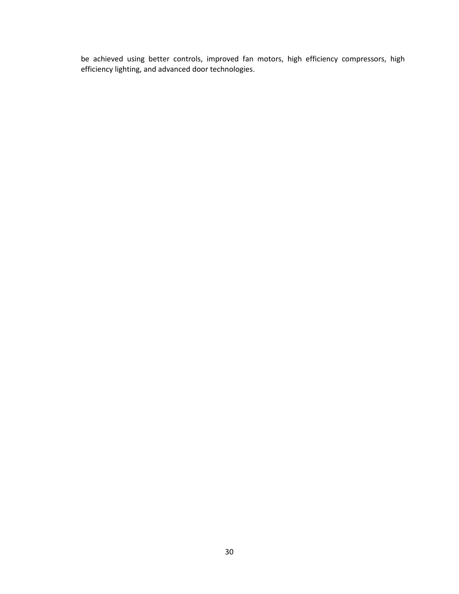be achieved using better controls, improved fan motors, high efficiency compressors, high efficiency lighting, and advanced door technologies.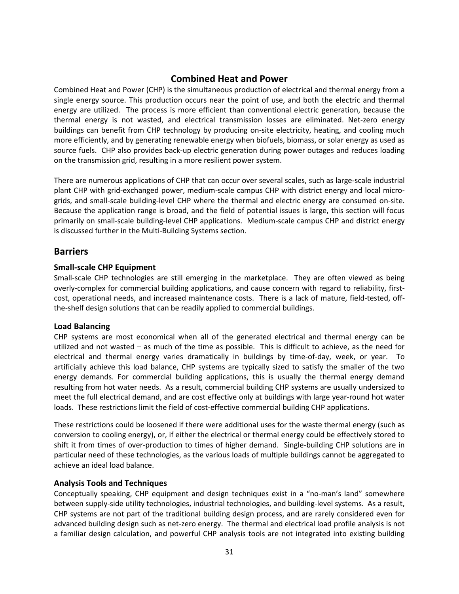## **Combined Heat and Power**

<span id="page-30-0"></span>Combined Heat and Power (CHP) is the simultaneous production of electrical and thermal energy from a single energy source. This production occurs near the point of use, and both the electric and thermal energy are utilized. The process is more efficient than conventional electric generation, because the thermal energy is not wasted, and electrical transmission losses are eliminated. Net-zero energy buildings can benefit from CHP technology by producing on-site electricity, heating, and cooling much more efficiently, and by generating renewable energy when biofuels, biomass, or solar energy as used as source fuels. CHP also provides back-up electric generation during power outages and reduces loading on the transmission grid, resulting in a more resilient power system.

There are numerous applications of CHP that can occur over several scales, such as large-scale industrial plant CHP with grid-exchanged power, medium-scale campus CHP with district energy and local microgrids, and small-scale building-level CHP where the thermal and electric energy are consumed on-site. Because the application range is broad, and the field of potential issues is large, this section will focus primarily on small-scale building-level CHP applications. Medium-scale campus CHP and district energy is discussed further in the Multi-Building Systems section.

## <span id="page-30-1"></span>**Barriers**

## **Small-scale CHP Equipment**

Small-scale CHP technologies are still emerging in the marketplace. They are often viewed as being overly-complex for commercial building applications, and cause concern with regard to reliability, firstcost, operational needs, and increased maintenance costs. There is a lack of mature, field-tested, offthe-shelf design solutions that can be readily applied to commercial buildings.

#### **Load Balancing**

CHP systems are most economical when all of the generated electrical and thermal energy can be utilized and not wasted – as much of the time as possible. This is difficult to achieve, as the need for electrical and thermal energy varies dramatically in buildings by time-of-day, week, or year. To artificially achieve this load balance, CHP systems are typically sized to satisfy the smaller of the two energy demands. For commercial building applications, this is usually the thermal energy demand resulting from hot water needs. As a result, commercial building CHP systems are usually undersized to meet the full electrical demand, and are cost effective only at buildings with large year-round hot water loads. These restrictions limit the field of cost-effective commercial building CHP applications.

These restrictions could be loosened if there were additional uses for the waste thermal energy (such as conversion to cooling energy), or, if either the electrical or thermal energy could be effectively stored to shift it from times of over-production to times of higher demand. Single-building CHP solutions are in particular need of these technologies, as the various loads of multiple buildings cannot be aggregated to achieve an ideal load balance.

#### **Analysis Tools and Techniques**

Conceptually speaking, CHP equipment and design techniques exist in a "no-man's land" somewhere between supply-side utility technologies, industrial technologies, and building-level systems. As a result, CHP systems are not part of the traditional building design process, and are rarely considered even for advanced building design such as net-zero energy. The thermal and electrical load profile analysis is not a familiar design calculation, and powerful CHP analysis tools are not integrated into existing building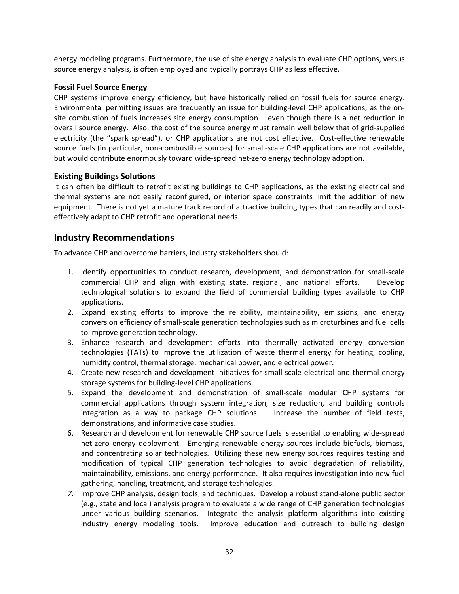energy modeling programs. Furthermore, the use of site energy analysis to evaluate CHP options, versus source energy analysis, is often employed and typically portrays CHP as less effective.

#### **Fossil Fuel Source Energy**

CHP systems improve energy efficiency, but have historically relied on fossil fuels for source energy. Environmental permitting issues are frequently an issue for building-level CHP applications, as the onsite combustion of fuels increases site energy consumption – even though there is a net reduction in overall source energy. Also, the cost of the source energy must remain well below that of grid-supplied electricity (the "spark spread"), or CHP applications are not cost effective. Cost-effective renewable source fuels (in particular, non-combustible sources) for small-scale CHP applications are not available, but would contribute enormously toward wide-spread net-zero energy technology adoption.

#### **Existing Buildings Solutions**

It can often be difficult to retrofit existing buildings to CHP applications, as the existing electrical and thermal systems are not easily reconfigured, or interior space constraints limit the addition of new equipment. There is not yet a mature track record of attractive building types that can readily and costeffectively adapt to CHP retrofit and operational needs.

## <span id="page-31-0"></span>**Industry Recommendations**

To advance CHP and overcome barriers, industry stakeholders should:

- 1. Identify opportunities to conduct research, development, and demonstration for small-scale commercial CHP and align with existing state, regional, and national efforts. Develop technological solutions to expand the field of commercial building types available to CHP applications.
- 2. Expand existing efforts to improve the reliability, maintainability, emissions, and energy conversion efficiency of small-scale generation technologies such as microturbines and fuel cells to improve generation technology.
- 3. Enhance research and development efforts into thermally activated energy conversion technologies (TATs) to improve the utilization of waste thermal energy for heating, cooling, humidity control, thermal storage, mechanical power, and electrical power.
- 4. Create new research and development initiatives for small-scale electrical and thermal energy storage systems for building-level CHP applications.
- 5. Expand the development and demonstration of small-scale modular CHP systems for commercial applications through system integration, size reduction, and building controls integration as a way to package CHP solutions. Increase the number of field tests, demonstrations, and informative case studies.
- 6. Research and development for renewable CHP source fuels is essential to enabling wide-spread net-zero energy deployment. Emerging renewable energy sources include biofuels, biomass, and concentrating solar technologies. Utilizing these new energy sources requires testing and modification of typical CHP generation technologies to avoid degradation of reliability, maintainability, emissions, and energy performance. It also requires investigation into new fuel gathering, handling, treatment, and storage technologies.
- *7.* Improve CHP analysis, design tools, and techniques. Develop a robust stand-alone public sector (e.g., state and local) analysis program to evaluate a wide range of CHP generation technologies under various building scenarios. Integrate the analysis platform algorithms into existing industry energy modeling tools. Improve education and outreach to building design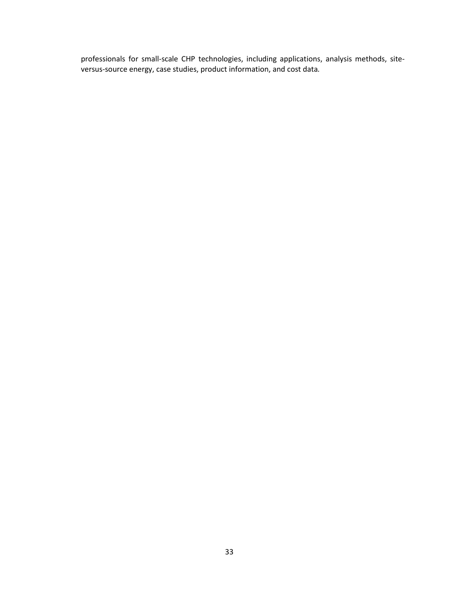professionals for small-scale CHP technologies, including applications, analysis methods, siteversus-source energy, case studies, product information, and cost data*.*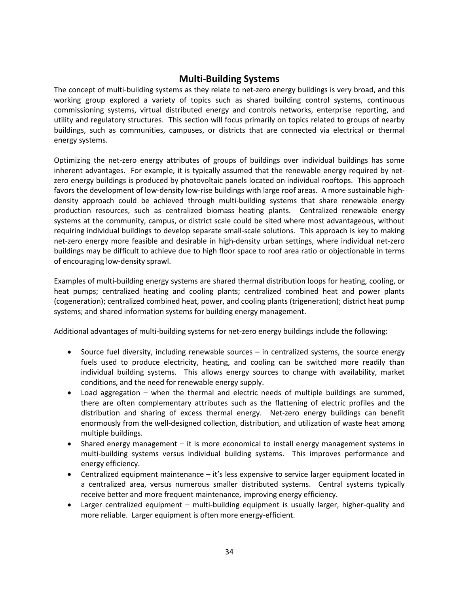## **Multi-Building Systems**

<span id="page-33-0"></span>The concept of multi-building systems as they relate to net-zero energy buildings is very broad, and this working group explored a variety of topics such as shared building control systems, continuous commissioning systems, virtual distributed energy and controls networks, enterprise reporting, and utility and regulatory structures. This section will focus primarily on topics related to groups of nearby buildings, such as communities, campuses, or districts that are connected via electrical or thermal energy systems.

Optimizing the net-zero energy attributes of groups of buildings over individual buildings has some inherent advantages. For example, it is typically assumed that the renewable energy required by netzero energy buildings is produced by photovoltaic panels located on individual rooftops. This approach favors the development of low-density low-rise buildings with large roof areas. A more sustainable highdensity approach could be achieved through multi-building systems that share renewable energy production resources, such as centralized biomass heating plants. Centralized renewable energy systems at the community, campus, or district scale could be sited where most advantageous, without requiring individual buildings to develop separate small-scale solutions. This approach is key to making net-zero energy more feasible and desirable in high-density urban settings, where individual net-zero buildings may be difficult to achieve due to high floor space to roof area ratio or objectionable in terms of encouraging low-density sprawl.

Examples of multi-building energy systems are shared thermal distribution loops for heating, cooling, or heat pumps; centralized heating and cooling plants; centralized combined heat and power plants (cogeneration); centralized combined heat, power, and cooling plants (trigeneration); district heat pump systems; and shared information systems for building energy management.

Additional advantages of multi-building systems for net-zero energy buildings include the following:

- Source fuel diversity, including renewable sources in centralized systems, the source energy fuels used to produce electricity, heating, and cooling can be switched more readily than individual building systems. This allows energy sources to change with availability, market conditions, and the need for renewable energy supply.
- Load aggregation  $-$  when the thermal and electric needs of multiple buildings are summed, there are often complementary attributes such as the flattening of electric profiles and the distribution and sharing of excess thermal energy. Net-zero energy buildings can benefit enormously from the well-designed collection, distribution, and utilization of waste heat among multiple buildings.
- Shared energy management it is more economical to install energy management systems in multi-building systems versus individual building systems. This improves performance and energy efficiency.
- Centralized equipment maintenance it's less expensive to service larger equipment located in a centralized area, versus numerous smaller distributed systems. Central systems typically receive better and more frequent maintenance, improving energy efficiency.
- Larger centralized equipment multi-building equipment is usually larger, higher-quality and more reliable. Larger equipment is often more energy-efficient.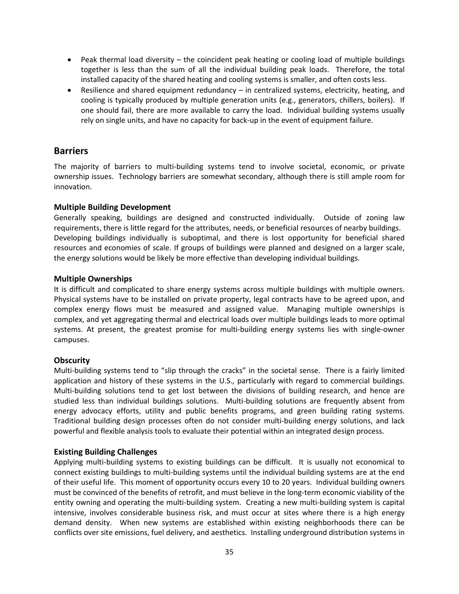- Peak thermal load diversity the coincident peak heating or cooling load of multiple buildings together is less than the sum of all the individual building peak loads. Therefore, the total installed capacity of the shared heating and cooling systems is smaller, and often costs less.
- Resilience and shared equipment redundancy in centralized systems, electricity, heating, and cooling is typically produced by multiple generation units (e.g., generators, chillers, boilers). If one should fail, there are more available to carry the load. Individual building systems usually rely on single units, and have no capacity for back-up in the event of equipment failure.

## <span id="page-34-0"></span>**Barriers**

The majority of barriers to multi-building systems tend to involve societal, economic, or private ownership issues. Technology barriers are somewhat secondary, although there is still ample room for innovation.

#### **Multiple Building Development**

Generally speaking, buildings are designed and constructed individually. Outside of zoning law requirements, there is little regard for the attributes, needs, or beneficial resources of nearby buildings. Developing buildings individually is suboptimal, and there is lost opportunity for beneficial shared resources and economies of scale. If groups of buildings were planned and designed on a larger scale, the energy solutions would be likely be more effective than developing individual buildings.

#### **Multiple Ownerships**

It is difficult and complicated to share energy systems across multiple buildings with multiple owners. Physical systems have to be installed on private property, legal contracts have to be agreed upon, and complex energy flows must be measured and assigned value. Managing multiple ownerships is complex, and yet aggregating thermal and electrical loads over multiple buildings leads to more optimal systems. At present, the greatest promise for multi-building energy systems lies with single-owner campuses.

#### **Obscurity**

Multi-building systems tend to "slip through the cracks" in the societal sense. There is a fairly limited application and history of these systems in the U.S., particularly with regard to commercial buildings. Multi-building solutions tend to get lost between the divisions of building research, and hence are studied less than individual buildings solutions. Multi-building solutions are frequently absent from energy advocacy efforts, utility and public benefits programs, and green building rating systems. Traditional building design processes often do not consider multi-building energy solutions, and lack powerful and flexible analysis tools to evaluate their potential within an integrated design process.

#### **Existing Building Challenges**

Applying multi-building systems to existing buildings can be difficult. It is usually not economical to connect existing buildings to multi-building systems until the individual building systems are at the end of their useful life. This moment of opportunity occurs every 10 to 20 years. Individual building owners must be convinced of the benefits of retrofit, and must believe in the long-term economic viability of the entity owning and operating the multi-building system. Creating a new multi-building system is capital intensive, involves considerable business risk, and must occur at sites where there is a high energy demand density. When new systems are established within existing neighborhoods there can be conflicts over site emissions, fuel delivery, and aesthetics. Installing underground distribution systems in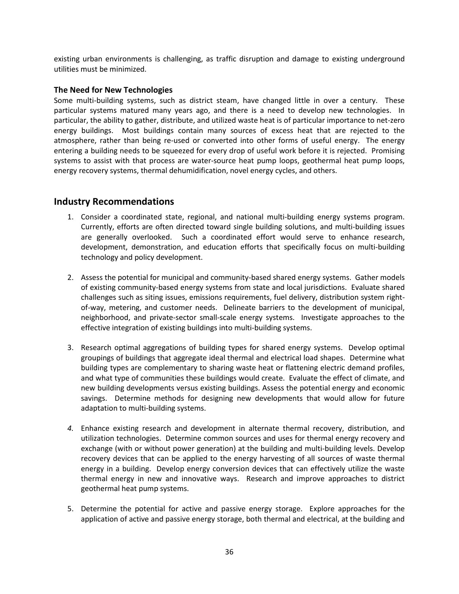existing urban environments is challenging, as traffic disruption and damage to existing underground utilities must be minimized.

#### **The Need for New Technologies**

Some multi-building systems, such as district steam, have changed little in over a century. These particular systems matured many years ago, and there is a need to develop new technologies. In particular, the ability to gather, distribute, and utilized waste heat is of particular importance to net-zero energy buildings. Most buildings contain many sources of excess heat that are rejected to the atmosphere, rather than being re-used or converted into other forms of useful energy. The energy entering a building needs to be squeezed for every drop of useful work before it is rejected. Promising systems to assist with that process are water-source heat pump loops, geothermal heat pump loops, energy recovery systems, thermal dehumidification, novel energy cycles, and others.

## <span id="page-35-0"></span>**Industry Recommendations**

- 1. Consider a coordinated state, regional, and national multi-building energy systems program. Currently, efforts are often directed toward single building solutions, and multi-building issues are generally overlooked. Such a coordinated effort would serve to enhance research, development, demonstration, and education efforts that specifically focus on multi-building technology and policy development.
- 2. Assess the potential for municipal and community-based shared energy systems. Gather models of existing community-based energy systems from state and local jurisdictions. Evaluate shared challenges such as siting issues, emissions requirements, fuel delivery, distribution system rightof-way, metering, and customer needs. Delineate barriers to the development of municipal, neighborhood, and private-sector small-scale energy systems. Investigate approaches to the effective integration of existing buildings into multi-building systems.
- 3. Research optimal aggregations of building types for shared energy systems. Develop optimal groupings of buildings that aggregate ideal thermal and electrical load shapes. Determine what building types are complementary to sharing waste heat or flattening electric demand profiles, and what type of communities these buildings would create. Evaluate the effect of climate, and new building developments versus existing buildings. Assess the potential energy and economic savings. Determine methods for designing new developments that would allow for future adaptation to multi-building systems.
- *4.* Enhance existing research and development in alternate thermal recovery, distribution, and utilization technologies. Determine common sources and uses for thermal energy recovery and exchange (with or without power generation) at the building and multi-building levels. Develop recovery devices that can be applied to the energy harvesting of all sources of waste thermal energy in a building. Develop energy conversion devices that can effectively utilize the waste thermal energy in new and innovative ways. Research and improve approaches to district geothermal heat pump systems.
- 5. Determine the potential for active and passive energy storage. Explore approaches for the application of active and passive energy storage, both thermal and electrical, at the building and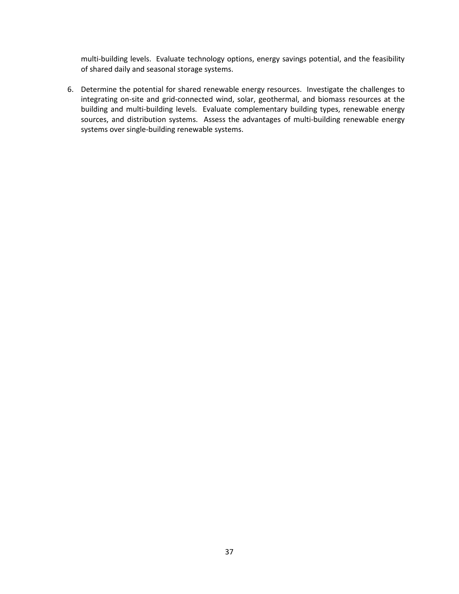multi-building levels. Evaluate technology options, energy savings potential, and the feasibility of shared daily and seasonal storage systems.

6. Determine the potential for shared renewable energy resources. Investigate the challenges to integrating on-site and grid-connected wind, solar, geothermal, and biomass resources at the building and multi-building levels. Evaluate complementary building types, renewable energy sources, and distribution systems. Assess the advantages of multi-building renewable energy systems over single-building renewable systems.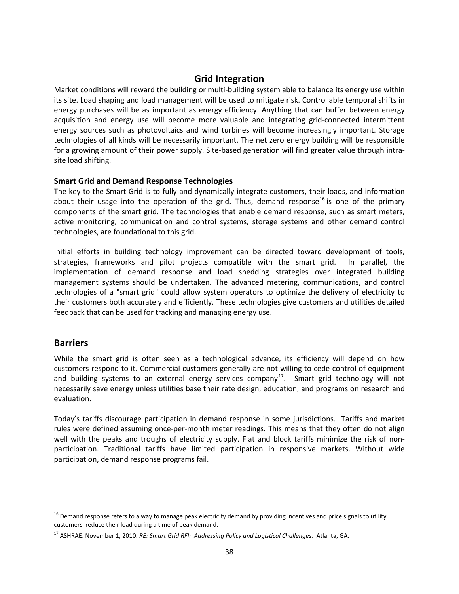## **Grid Integration**

<span id="page-37-0"></span>Market conditions will reward the building or multi-building system able to balance its energy use within its site. Load shaping and load management will be used to mitigate risk. Controllable temporal shifts in energy purchases will be as important as energy efficiency. Anything that can buffer between energy acquisition and energy use will become more valuable and integrating grid-connected intermittent energy sources such as photovoltaics and wind turbines will become increasingly important. Storage technologies of all kinds will be necessarily important. The net zero energy building will be responsible for a growing amount of their power supply. Site-based generation will find greater value through intrasite load shifting.

#### **Smart Grid and Demand Response Technologies**

The key to the Smart Grid is to fully and dynamically integrate customers, their loads, and information about their usage into the operation of the grid. Thus, demand response<sup>[16](#page-37-2)</sup> is one of the primary components of the smart grid. The technologies that enable demand response, such as smart meters, active monitoring, communication and control systems, storage systems and other demand control technologies, are foundational to this grid.

Initial efforts in building technology improvement can be directed toward development of tools, strategies, frameworks and pilot projects compatible with the smart grid. In parallel, the implementation of demand response and load shedding strategies over integrated building management systems should be undertaken. The advanced metering, communications, and control technologies of a "smart grid" could allow system operators to optimize the delivery of electricity to their customers both accurately and efficiently. These technologies give customers and utilities detailed feedback that can be used for tracking and managing energy use.

#### <span id="page-37-1"></span>**Barriers**

 $\overline{\phantom{0}}$ 

While the smart grid is often seen as a technological advance, its efficiency will depend on how customers respond to it. Commercial customers generally are not willing to cede control of equipment and building systems to an external energy services company<sup>[17](#page-37-3)</sup>. Smart grid technology will not necessarily save energy unless utilities base their rate design, education, and programs on research and evaluation.

Today's tariffs discourage participation in demand response in some jurisdictions. Tariffs and market rules were defined assuming once-per-month meter readings. This means that they often do not align well with the peaks and troughs of electricity supply. Flat and block tariffs minimize the risk of nonparticipation. Traditional tariffs have limited participation in responsive markets. Without wide participation, demand response programs fail.

<span id="page-37-2"></span> $16$  Demand response refers to a way to manage peak electricity demand by providing incentives and price signals to utility customers reduce their load during a time of peak demand.

<span id="page-37-3"></span><sup>17</sup> ASHRAE. November 1, 2010. *RE: Smart Grid RFI: Addressing Policy and Logistical Challenges.* Atlanta, GA.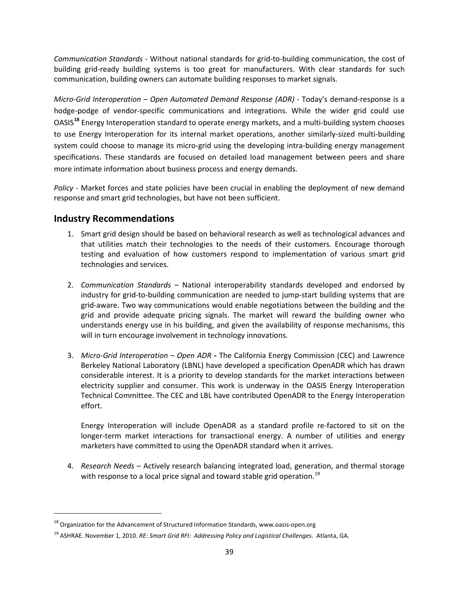*Communication Standards* - Without national standards for grid-to-building communication, the cost of building grid-ready building systems is too great for manufacturers. With clear standards for such communication, building owners can automate building responses to market signals.

*Micro-Grid Interoperation – Open Automated Demand Response (ADR)* - Today's demand-response is a hodge-podge of vendor-specific communications and integrations. While the wider grid could use OASIS**[18](#page-38-1)** Energy Interoperation standard to operate energy markets, and a multi-building system chooses to use Energy Interoperation for its internal market operations, another similarly-sized multi-building system could choose to manage its micro-grid using the developing intra-building energy management specifications. These standards are focused on detailed load management between peers and share more intimate information about business process and energy demands.

*Policy* - Market forces and state policies have been crucial in enabling the deployment of new demand response and smart grid technologies, but have not been sufficient.

## <span id="page-38-0"></span>**Industry Recommendations**

 $\overline{\phantom{0}}$ 

- 1. Smart grid design should be based on behavioral research as well as technological advances and that utilities match their technologies to the needs of their customers. Encourage thorough testing and evaluation of how customers respond to implementation of various smart grid technologies and services.
- 2. *Communication Standards* National interoperability standards developed and endorsed by industry for grid-to-building communication are needed to jump-start building systems that are grid-aware. Two way communications would enable negotiations between the building and the grid and provide adequate pricing signals. The market will reward the building owner who understands energy use in his building, and given the availability of response mechanisms, this will in turn encourage involvement in technology innovations.
- 3. *Micro-Grid Interoperation – Open ADR* **-** The California Energy Commission (CEC) and Lawrence Berkeley National Laboratory (LBNL) have developed a specification OpenADR which has drawn considerable interest. It is a priority to develop standards for the market interactions between electricity supplier and consumer. This work is underway in the OASIS Energy Interoperation Technical Committee. The CEC and LBL have contributed OpenADR to the Energy Interoperation effort.

Energy Interoperation will include OpenADR as a standard profile re-factored to sit on the longer-term market interactions for transactional energy. A number of utilities and energy marketers have committed to using the OpenADR standard when it arrives.

4. *Research Needs –* Actively research balancing integrated load, generation, and thermal storage with response to a local price signal and toward stable grid operation.<sup>[19](#page-38-2)</sup>

<span id="page-38-1"></span><sup>&</sup>lt;sup>18</sup> Organization for the Advancement of Structured Information Standards, www.oasis-open.org

<span id="page-38-2"></span><sup>19</sup> ASHRAE. November 1, 2010. *RE: Smart Grid RFI: Addressing Policy and Logistical Challenges.* Atlanta, GA.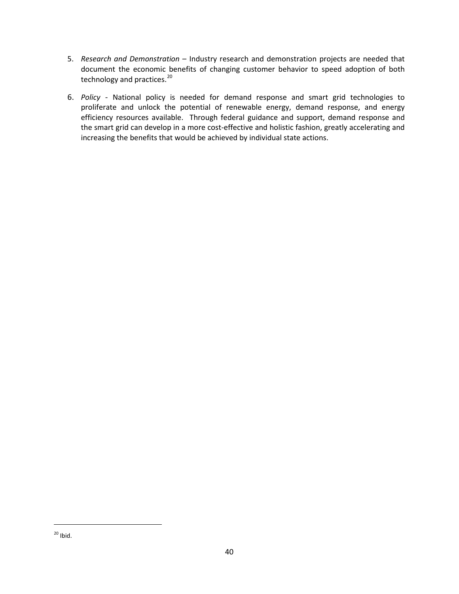- 5. *Research and Demonstration* Industry research and demonstration projects are needed that document the economic benefits of changing customer behavior to speed adoption of both technology and practices.<sup>[20](#page-39-0)</sup>
- <span id="page-39-0"></span>6. *Policy* - National policy is needed for demand response and smart grid technologies to proliferate and unlock the potential of renewable energy, demand response, and energy efficiency resources available. Through federal guidance and support, demand response and the smart grid can develop in a more cost-effective and holistic fashion, greatly accelerating and increasing the benefits that would be achieved by individual state actions.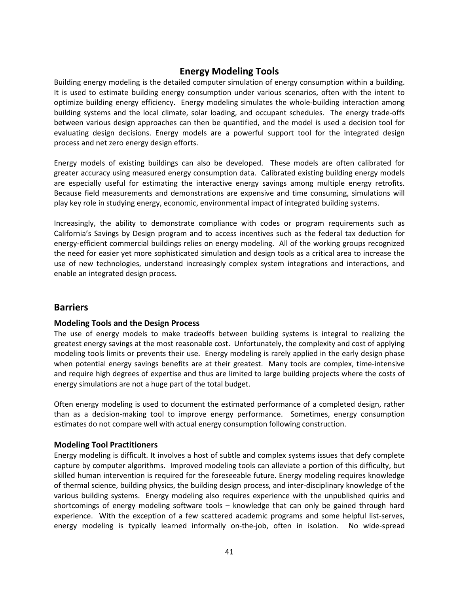## **Energy Modeling Tools**

<span id="page-40-0"></span>Building energy modeling is the detailed computer simulation of energy consumption within a building. It is used to estimate building energy consumption under various scenarios, often with the intent to optimize building energy efficiency. Energy modeling simulates the whole-building interaction among building systems and the local climate, solar loading, and occupant schedules. The energy trade-offs between various design approaches can then be quantified, and the model is used a decision tool for evaluating design decisions. Energy models are a powerful support tool for the integrated design process and net zero energy design efforts.

Energy models of existing buildings can also be developed. These models are often calibrated for greater accuracy using measured energy consumption data. Calibrated existing building energy models are especially useful for estimating the interactive energy savings among multiple energy retrofits. Because field measurements and demonstrations are expensive and time consuming, simulations will play key role in studying energy, economic, environmental impact of integrated building systems.

Increasingly, the ability to demonstrate compliance with codes or program requirements such as California's Savings by Design program and to access incentives such as the federal tax deduction for energy-efficient commercial buildings relies on energy modeling. All of the working groups recognized the need for easier yet more sophisticated simulation and design tools as a critical area to increase the use of new technologies, understand increasingly complex system integrations and interactions, and enable an integrated design process.

## <span id="page-40-1"></span>**Barriers**

#### **Modeling Tools and the Design Process**

The use of energy models to make tradeoffs between building systems is integral to realizing the greatest energy savings at the most reasonable cost. Unfortunately, the complexity and cost of applying modeling tools limits or prevents their use. Energy modeling is rarely applied in the early design phase when potential energy savings benefits are at their greatest. Many tools are complex, time-intensive and require high degrees of expertise and thus are limited to large building projects where the costs of energy simulations are not a huge part of the total budget.

Often energy modeling is used to document the estimated performance of a completed design, rather than as a decision-making tool to improve energy performance. Sometimes, energy consumption estimates do not compare well with actual energy consumption following construction.

#### **Modeling Tool Practitioners**

Energy modeling is difficult. It involves a host of subtle and complex systems issues that defy complete capture by computer algorithms. Improved modeling tools can alleviate a portion of this difficulty, but skilled human intervention is required for the foreseeable future. Energy modeling requires knowledge of thermal science, building physics, the building design process, and inter-disciplinary knowledge of the various building systems. Energy modeling also requires experience with the unpublished quirks and shortcomings of energy modeling software tools – knowledge that can only be gained through hard experience. With the exception of a few scattered academic programs and some helpful list-serves, energy modeling is typically learned informally on-the-job, often in isolation. No wide-spread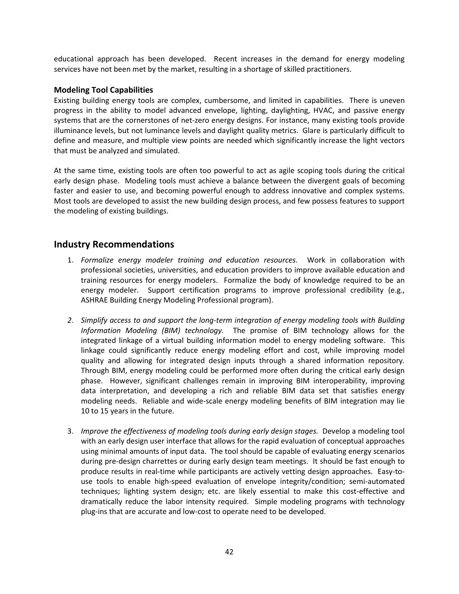educational approach has been developed. Recent increases in the demand for energy modeling services have not been met by the market, resulting in a shortage of skilled practitioners.

#### **Modeling Tool Capabilities**

Existing building energy tools are complex, cumbersome, and limited in capabilities. There is uneven progress in the ability to model advanced envelope, lighting, daylighting, HVAC, and passive energy systems that are the cornerstones of net-zero energy designs. For instance, many existing tools provide illuminance levels, but not luminance levels and daylight quality metrics. Glare is particularly difficult to define and measure, and multiple view points are needed which significantly increase the light vectors that must be analyzed and simulated.

At the same time, existing tools are often too powerful to act as agile scoping tools during the critical early design phase. Modeling tools must achieve a balance between the divergent goals of becoming faster and easier to use, and becoming powerful enough to address innovative and complex systems. Most tools are developed to assist the new building design process, and few possess features to support the modeling of existing buildings.

## <span id="page-41-0"></span>**Industry Recommendations**

- 1. *Formalize energy modeler training and education resources.* Work in collaboration with professional societies, universities, and education providers to improve available education and training resources for energy modelers. Formalize the body of knowledge required to be an energy modeler. Support certification programs to improve professional credibility (e.g., ASHRAE Building Energy Modeling Professional program).
- *2. Simplify access to and support the long-term integration of energy modeling tools with Building Information Modeling (BIM) technology.* The promise of BIM technology allows for the integrated linkage of a virtual building information model to energy modeling software. This linkage could significantly reduce energy modeling effort and cost, while improving model quality and allowing for integrated design inputs through a shared information repository. Through BIM, energy modeling could be performed more often during the critical early design phase. However, significant challenges remain in improving BIM interoperability, improving data interpretation, and developing a rich and reliable BIM data set that satisfies energy modeling needs. Reliable and wide-scale energy modeling benefits of BIM integration may lie 10 to 15 years in the future.
- 3. *Improve the effectiveness of modeling tools during early design stages.* Develop a modeling tool with an early design user interface that allows for the rapid evaluation of conceptual approaches using minimal amounts of input data. The tool should be capable of evaluating energy scenarios during pre-design charrettes or during early design team meetings. It should be fast enough to produce results in real-time while participants are actively vetting design approaches. Easy-touse tools to enable high-speed evaluation of envelope integrity/condition; semi-automated techniques; lighting system design; etc. are likely essential to make this cost-effective and dramatically reduce the labor intensity required. Simple modeling programs with technology plug-ins that are accurate and low-cost to operate need to be developed.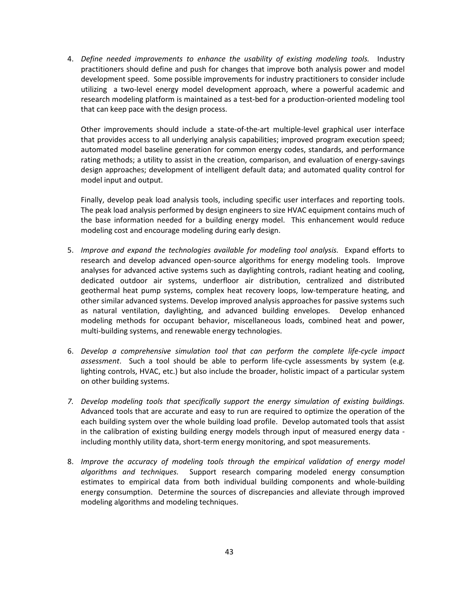4. *Define needed improvements to enhance the usability of existing modeling tools.* Industry practitioners should define and push for changes that improve both analysis power and model development speed. Some possible improvements for industry practitioners to consider include utilizing a two-level energy model development approach, where a powerful academic and research modeling platform is maintained as a test-bed for a production-oriented modeling tool that can keep pace with the design process.

Other improvements should include a state-of-the-art multiple-level graphical user interface that provides access to all underlying analysis capabilities; improved program execution speed; automated model baseline generation for common energy codes, standards, and performance rating methods; a utility to assist in the creation, comparison, and evaluation of energy-savings design approaches; development of intelligent default data; and automated quality control for model input and output.

Finally, develop peak load analysis tools, including specific user interfaces and reporting tools. The peak load analysis performed by design engineers to size HVAC equipment contains much of the base information needed for a building energy model. This enhancement would reduce modeling cost and encourage modeling during early design.

- 5. *Improve and expand the technologies available for modeling tool analysis.* Expand efforts to research and develop advanced open-source algorithms for energy modeling tools. Improve analyses for advanced active systems such as daylighting controls, radiant heating and cooling, dedicated outdoor air systems, underfloor air distribution, centralized and distributed geothermal heat pump systems, complex heat recovery loops, low-temperature heating, and other similar advanced systems. Develop improved analysis approaches for passive systems such as natural ventilation, daylighting, and advanced building envelopes. Develop enhanced modeling methods for occupant behavior, miscellaneous loads, combined heat and power, multi-building systems, and renewable energy technologies.
- 6. *Develop a comprehensive simulation tool that can perform the complete life-cycle impact assessment*. Such a tool should be able to perform life-cycle assessments by system (e.g. lighting controls, HVAC, etc.) but also include the broader, holistic impact of a particular system on other building systems.
- *7. Develop modeling tools that specifically support the energy simulation of existing buildings.*  Advanced tools that are accurate and easy to run are required to optimize the operation of the each building system over the whole building load profile. Develop automated tools that assist in the calibration of existing building energy models through input of measured energy data including monthly utility data, short-term energy monitoring, and spot measurements.
- 8. *Improve the accuracy of modeling tools through the empirical validation of energy model algorithms and techniques.* Support research comparing modeled energy consumption estimates to empirical data from both individual building components and whole-building energy consumption. Determine the sources of discrepancies and alleviate through improved modeling algorithms and modeling techniques.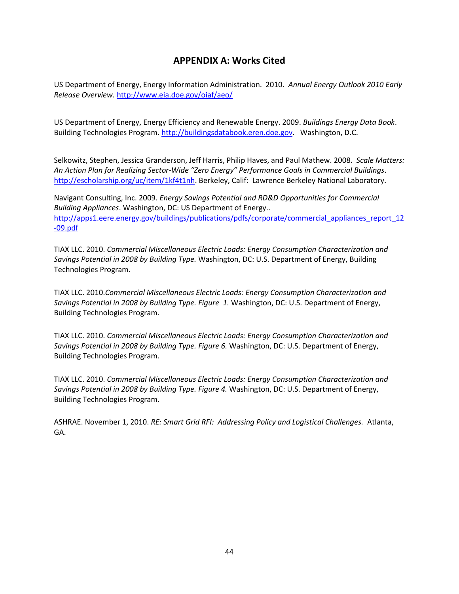## **APPENDIX A: Works Cited**

<span id="page-43-0"></span>US Department of Energy, Energy Information Administration. 2010. *Annual Energy Outlook 2010 Early Release Overview.* <http://www.eia.doe.gov/oiaf/aeo/>

US Department of Energy, Energy Efficiency and Renewable Energy. 2009. *Buildings Energy Data Book*. Building Technologies Program[. http://buildingsdatabook.eren.doe.gov.](http://buildingsdatabook.eren.doe.gov/) Washington, D.C.

Selkowitz, Stephen, Jessica Granderson, Jeff Harris, Philip Haves, and Paul Mathew. 2008. *Scale Matters: An Action Plan for Realizing Sector-Wide "Zero Energy" Performance Goals in Commercial Buildings*. [http://escholarship.org/uc/item/1kf4t1nh.](http://escholarship.org/uc/item/1kf4t1nh) Berkeley, Calif: Lawrence Berkeley National Laboratory.

Navigant Consulting, Inc. 2009. *Energy Savings Potential and RD&D Opportunities for Commercial Building Appliances*. Washington, DC: US Department of Energy.. [http://apps1.eere.energy.gov/buildings/publications/pdfs/corporate/commercial\\_appliances\\_report\\_12](http://apps1.eere.energy.gov/buildings/publications/pdfs/corporate/commercial_appliances_report_12-09.pdf) [-09.pdf](http://apps1.eere.energy.gov/buildings/publications/pdfs/corporate/commercial_appliances_report_12-09.pdf)

TIAX LLC. 2010. *Commercial Miscellaneous Electric Loads: Energy Consumption Characterization and Savings Potential in 2008 by Building Type.* Washington, DC: U.S. Department of Energy, Building Technologies Program.

TIAX LLC. 2010.*Commercial Miscellaneous Electric Loads: Energy Consumption Characterization and Savings Potential in 2008 by Building Type. Figure 1.* Washington, DC: U.S. Department of Energy, Building Technologies Program.

TIAX LLC. 2010. *Commercial Miscellaneous Electric Loads: Energy Consumption Characterization and Savings Potential in 2008 by Building Type. Figure 6.* Washington, DC: U.S. Department of Energy, Building Technologies Program.

TIAX LLC. 2010. *Commercial Miscellaneous Electric Loads: Energy Consumption Characterization and Savings Potential in 2008 by Building Type. Figure 4.* Washington, DC: U.S. Department of Energy, Building Technologies Program.

ASHRAE. November 1, 2010. *RE: Smart Grid RFI: Addressing Policy and Logistical Challenges.* Atlanta, GA.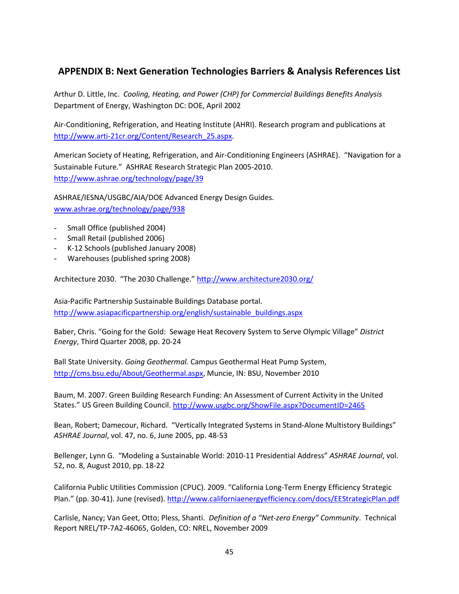## <span id="page-44-0"></span>**APPENDIX B: Next Generation Technologies Barriers & Analysis References List**

Arthur D. Little, Inc. *Cooling, Heating, and Power (CHP) for Commercial Buildings Benefits Analysis* Department of Energy, Washington DC: DOE, April 2002

Air-Conditioning, Refrigeration, and Heating Institute (AHRI). Research program and publications at [http://www.arti-21cr.org/Content/Research\\_25.aspx.](http://www.arti-21cr.org/Content/Research_25.aspx)

American Society of Heating, Refrigeration, and Air-Conditioning Engineers (ASHRAE). "Navigation for a Sustainable Future." ASHRAE Research Strategic Plan 2005-2010. <http://www.ashrae.org/technology/page/39>

ASHRAE/IESNA/USGBC/AIA/DOE Advanced Energy Design Guides. [www.ashrae.org/technology/page/938](http://www.ashrae.org/technology/page/938)

- Small Office (published 2004)
- Small Retail (published 2006)
- K-12 Schools (published January 2008)
- Warehouses (published spring 2008)

Architecture 2030. "The 2030 Challenge.[" http://www.architecture2030.org/](http://www.architecture2030.org/)

Asia-Pacific Partnership Sustainable Buildings Database portal. [http://www.asiapacificpartnership.org/english/sustainable\\_buildings.aspx](http://www.asiapacificpartnership.org/english/sustainable_buildings.aspx)

Baber, Chris. "Going for the Gold: Sewage Heat Recovery System to Serve Olympic Village" *District Energy*, Third Quarter 2008, pp. 20-24

Ball State University. *Going Geothermal.* Campus Geothermal Heat Pump System, [http://cms.bsu.edu/About/Geothermal.aspx,](http://cms.bsu.edu/About/Geothermal.aspx) Muncie, IN: BSU, November 2010

Baum, M. 2007. Green Building Research Funding: An Assessment of Current Activity in the United States." US Green Building Council[. http://www.usgbc.org/ShowFile.aspx?DocumentID=2465](http://www.usgbc.org/ShowFile.aspx?DocumentID=2465)

Bean, Robert; Damecour, Richard. "Vertically Integrated Systems in Stand-Alone Multistory Buildings" *ASHRAE Journal*, vol. 47, no. 6, June 2005, pp. 48-53

Bellenger, Lynn G. "Modeling a Sustainable World: 2010-11 Presidential Address" *ASHRAE Journal*, vol. 52, no. 8, August 2010, pp. 18-22

California Public Utilities Commission (CPUC). 2009. "California Long-Term Energy Efficiency Strategic Plan." (pp. 30-41). June (revised).<http://www.californiaenergyefficiency.com/docs/EEStrategicPlan.pdf>

Carlisle, Nancy; Van Geet, Otto; Pless, Shanti. *Definition of a "Net-zero Energy" Community*. Technical Report NREL/TP-7A2-46065, Golden, CO: NREL, November 2009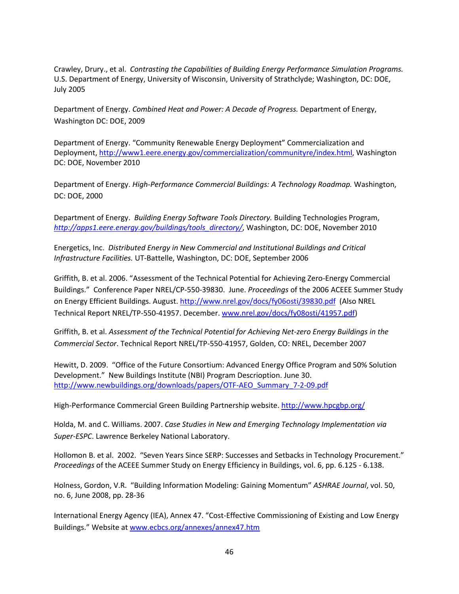Crawley, Drury., et al. *Contrasting the Capabilities of Building Energy Performance Simulation Programs.*  U.S. Department of Energy, University of Wisconsin, University of Strathclyde; Washington, DC: DOE, July 2005

Department of Energy. *Combined Heat and Power: A Decade of Progress.* Department of Energy, Washington DC: DOE, 2009

Department of Energy. "Community Renewable Energy Deployment" Commercialization and Deployment, [http://www1.eere.energy.gov/commercialization/communityre/index.html,](http://www1.eere.energy.gov/commercialization/communityre/index.html) Washington DC: DOE, November 2010

Department of Energy. *High-Performance Commercial Buildings: A Technology Roadmap.* Washington, DC: DOE, 2000

Department of Energy. *Building Energy Software Tools Directory.* Building Technologies Program, *[http://apps1.eere.energy.gov/buildings/tools\\_directory/](http://apps1.eere.energy.gov/buildings/tools_directory/)*, Washington, DC: DOE, November 2010

Energetics, Inc. *Distributed Energy in New Commercial and Institutional Buildings and Critical Infrastructure Facilities.* UT-Battelle, Washington, DC: DOE, September 2006

Griffith, B. et al. 2006. "Assessment of the Technical Potential for Achieving Zero-Energy Commercial Buildings." Conference Paper NREL/CP-550-39830. June. *Proceedings* of the 2006 ACEEE Summer Study on Energy Efficient Buildings. August.<http://www.nrel.gov/docs/fy06osti/39830.pdf>(Also NREL Technical Report NREL/TP-550-41957. December. [www.nrel.gov/docs/fy08osti/41957.pdf\)](http://www.nrel.gov/docs/fy08osti/41957.pdf)

Griffith, B. et al. *Assessment of the Technical Potential for Achieving Net-zero Energy Buildings in the Commercial Sector*. Technical Report NREL/TP-550-41957, Golden, CO: NREL, December 2007

Hewitt, D. 2009. "Office of the Future Consortium: Advanced Energy Office Program and 50% Solution Development." New Buildings Institute (NBI) Program Descrioption. June 30. [http://www.newbuildings.org/downloads/papers/OTF-AEO\\_Summary\\_7-2-09.pdf](http://www.newbuildings.org/downloads/papers/OTF-AEO_Summary_7-2-09.pdf)

High-Performance Commercial Green Building Partnership website.<http://www.hpcgbp.org/>

Holda, M. and C. Williams. 2007. *Case Studies in New and Emerging Technology Implementation via Super-ESPC*. Lawrence Berkeley National Laboratory.

Hollomon B. et al. 2002. "Seven Years Since SERP: Successes and Setbacks in Technology Procurement." *Proceedings* of the ACEEE Summer Study on Energy Efficiency in Buildings, vol. 6, pp. 6.125 - 6.138.

Holness, Gordon, V.R. "Building Information Modeling: Gaining Momentum" *ASHRAE Journal*, vol. 50, no. 6, June 2008, pp. 28-36

International Energy Agency (IEA), Annex 47. "Cost-Effective Commissioning of Existing and Low Energy Buildings." Website at [www.ecbcs.org/annexes/annex47.htm](http://www.ecbcs.org/annexes/annex47.htm)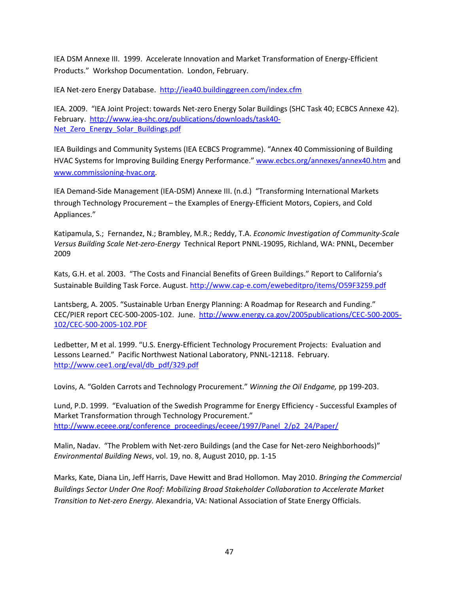IEA DSM Annexe III. 1999. Accelerate Innovation and Market Transformation of Energy-Efficient Products." Workshop Documentation. London, February.

IEA Net-zero Energy Database. <http://iea40.buildinggreen.com/index.cfm>

IEA. 2009. "IEA Joint Project: towards Net-zero Energy Solar Buildings (SHC Task 40; ECBCS Annexe 42). February. [http://www.iea-shc.org/publications/downloads/task40-](http://www.iea-shc.org/publications/downloads/task40-Net_Zero_Energy_Solar_Buildings.pdf) Net Zero Energy Solar Buildings.pdf

IEA Buildings and Community Systems (IEA ECBCS Programme). "Annex 40 Commissioning of Building HVAC Systems for Improving Building Energy Performance.[" www.ecbcs.org/annexes/annex40.htm](http://www.ecbcs.org/annexes/annex40.htm) and [www.commissioning-hvac.org.](http://www.commissioning-hvac.org/)

IEA Demand-Side Management (IEA-DSM) Annexe III. (n.d.) "Transforming International Markets through Technology Procurement – the Examples of Energy-Efficient Motors, Copiers, and Cold Appliances."

Katipamula, S.; Fernandez, N.; Brambley, M.R.; Reddy, T.A. *Economic Investigation of Community-Scale Versus Building Scale Net-zero-Energy* Technical Report PNNL-19095, Richland, WA: PNNL, December 2009

Kats, G.H. et al. 2003. "The Costs and Financial Benefits of Green Buildings." Report to California's Sustainable Building Task Force. August.<http://www.cap-e.com/ewebeditpro/items/O59F3259.pdf>

Lantsberg, A. 2005. "Sustainable Urban Energy Planning: A Roadmap for Research and Funding." CEC/PIER report CEC-500-2005-102. June. [http://www.energy.ca.gov/2005publications/CEC-500-2005-](http://www.energy.ca.gov/2005publications/CEC-500-2005-102/CEC-500-2005-102.PDF) [102/CEC-500-2005-102.PDF](http://www.energy.ca.gov/2005publications/CEC-500-2005-102/CEC-500-2005-102.PDF)

Ledbetter, M et al. 1999. "U.S. Energy-Efficient Technology Procurement Projects: Evaluation and Lessons Learned." Pacific Northwest National Laboratory, PNNL-12118. February. [http://www.cee1.org/eval/db\\_pdf/329.pdf](http://www.cee1.org/eval/db_pdf/329.pdf)

Lovins, A. "Golden Carrots and Technology Procurement." *Winning the Oil Endgame,* pp 199-203.

Lund, P.D. 1999. "Evaluation of the Swedish Programme for Energy Efficiency - Successful Examples of Market Transformation through Technology Procurement." [http://www.eceee.org/conference\\_proceedings/eceee/1997/Panel\\_2/p2\\_24/Paper/](http://www.eceee.org/conference_proceedings/eceee/1997/Panel_2/p2_24/Paper/)

Malin, Nadav. "The Problem with Net-zero Buildings (and the Case for Net-zero Neighborhoods)" *Environmental Building News*, vol. 19, no. 8, August 2010, pp. 1-15

Marks, Kate, Diana Lin, Jeff Harris, Dave Hewitt and Brad Hollomon. May 2010. *Bringing the Commercial Buildings Sector Under One Roof: Mobilizing Broad Stakeholder Collaboration to Accelerate Market Transition to Net-zero Energy.* Alexandria, VA: National Association of State Energy Officials.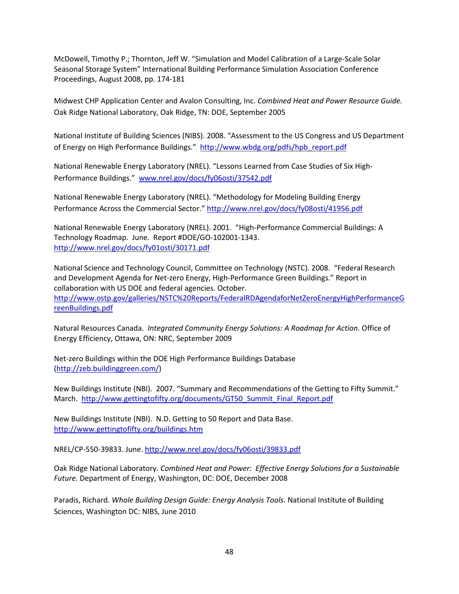McDowell, Timothy P.; Thornton, Jeff W. "Simulation and Model Calibration of a Large-Scale Solar Seasonal Storage System" International Building Performance Simulation Association Conference Proceedings, August 2008, pp. 174-181

Midwest CHP Application Center and Avalon Consulting, Inc. *Combined Heat and Power Resource Guide.* Oak Ridge National Laboratory, Oak Ridge, TN: DOE, September 2005

National Institute of Building Sciences (NIBS). 2008. "Assessment to the US Congress and US Department of Energy on High Performance Buildings." [http://www.wbdg.org/pdfs/hpb\\_report.pdf](http://www.wbdg.org/pdfs/hpb_report.pdf)

National Renewable Energy Laboratory (NREL). "Lessons Learned from Case Studies of Six High-Performance Buildings." [www.nrel.gov/docs/fy06osti/37542.pdf](http://www.nrel.gov/docs/fy06osti/37542.pdf)

National Renewable Energy Laboratory (NREL). "Methodology for Modeling Building Energy Performance Across the Commercial Sector."<http://www.nrel.gov/docs/fy08osti/41956.pdf>

National Renewable Energy Laboratory (NREL). 2001. "High-Performance Commercial Buildings: A Technology Roadmap. June. Report #DOE/GO-102001-1343. <http://www.nrel.gov/docs/fy01osti/30171.pdf>

National Science and Technology Council, Committee on Technology (NSTC). 2008. "Federal Research and Development Agenda for Net-zero Energy, High-Performance Green Buildings." Report in collaboration with US DOE and federal agencies. October. [http://www.ostp.gov/galleries/NSTC%20Reports/FederalRDAgendaforNetZeroEnergyHighPerformanceG](http://www.ostp.gov/galleries/NSTC%20Reports/FederalRDAgendaforNetZeroEnergyHighPerformanceGreenBuildings.pdf) [reenBuildings.pdf](http://www.ostp.gov/galleries/NSTC%20Reports/FederalRDAgendaforNetZeroEnergyHighPerformanceGreenBuildings.pdf)

Natural Resources Canada. *Integrated Community Energy Solutions: A Roadmap for Action*. Office of Energy Efficiency, Ottawa, ON: NRC, September 2009

Net-zero Buildings within the DOE High Performance Buildings Database [\(http://zeb.buildinggreen.com/\)](http://zeb.buildinggreen.com/)

New Buildings Institute (NBI). 2007. "Summary and Recommendations of the Getting to Fifty Summit." March. [http://www.gettingtofifty.org/documents/GT50\\_Summit\\_Final\\_Report.pdf](http://www.gettingtofifty.org/documents/GT50_Summit_Final_Report.pdf)

New Buildings Institute (NBI). N.D. Getting to 50 Report and Data Base. <http://www.gettingtofifty.org/buildings.htm>

NREL/CP-550-39833. June.<http://www.nrel.gov/docs/fy06osti/39833.pdf>

Oak Ridge National Laboratory. *Combined Heat and Power: Effective Energy Solutions for a Sustainable Future.* Department of Energy, Washington, DC: DOE, December 2008

Paradis, Richard. *Whole Building Design Guide: Energy Analysis Tools.* National Institute of Building Sciences, Washington DC: NIBS, June 2010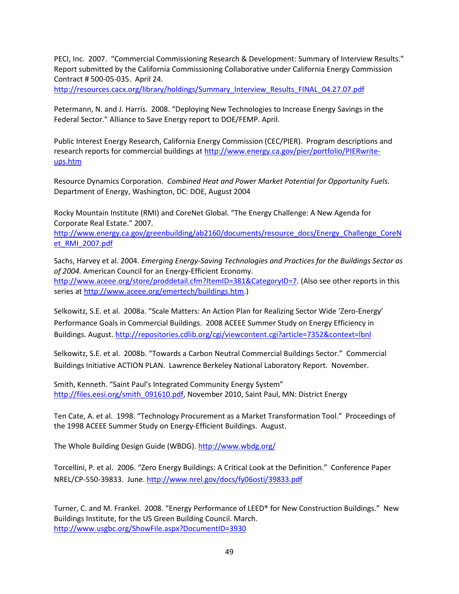PECI, Inc. 2007. "Commercial Commissioning Research & Development: Summary of Interview Results." Report submitted by the California Commissioning Collaborative under California Energy Commission Contract # 500-05-035. April 24.

[http://resources.cacx.org/library/holdings/Summary\\_Interview\\_Results\\_FINAL\\_04.27.07.pdf](http://resources.cacx.org/library/holdings/Summary_Interview_Results_FINAL_04.27.07.pdf)

Petermann, N. and J. Harris. 2008. "Deploying New Technologies to Increase Energy Savings in the Federal Sector." Alliance to Save Energy report to DOE/FEMP. April.

Public Interest Energy Research, California Energy Commission (CEC/PIER). Program descriptions and research reports for commercial buildings a[t http://www.energy.ca.gov/pier/portfolio/PIERwrite](http://www.energy.ca.gov/pier/portfolio/PIERwrite-ups.htm)[ups.htm](http://www.energy.ca.gov/pier/portfolio/PIERwrite-ups.htm)

Resource Dynamics Corporation. *Combined Heat and Power Market Potential for Opportunity Fuels.* Department of Energy, Washington, DC: DOE, August 2004

Rocky Mountain Institute (RMI) and CoreNet Global. "The Energy Challenge: A New Agenda for Corporate Real Estate." 2007.

[http://www.energy.ca.gov/greenbuilding/ab2160/documents/resource\\_docs/Energy\\_Challenge\\_CoreN](http://www.energy.ca.gov/greenbuilding/ab2160/documents/resource_docs/Energy_Challenge_CoreNet_RMI_2007.pdf) [et\\_RMI\\_2007.pdf](http://www.energy.ca.gov/greenbuilding/ab2160/documents/resource_docs/Energy_Challenge_CoreNet_RMI_2007.pdf)

Sachs, Harvey et al. 2004. *Emerging Energy-Saving Technologies and Practices for the Buildings Sector as of 2004.* American Council for an Energy-Efficient Economy. [http://www.aceee.org/store/proddetail.cfm?ItemID=381&CategoryID=7.](http://www.aceee.org/store/proddetail.cfm?ItemID=381&CategoryID=7) (Also see other reports in this series at [http://www.aceee.org/emertech/buildings.htm.](http://www.aceee.org/emertech/buildings.htm))

Selkowitz, S.E. et al. 2008a. "Scale Matters: An Action Plan for Realizing Sector Wide 'Zero-Energy' Performance Goals in Commercial Buildings. 2008 ACEEE Summer Study on Energy Efficiency in Buildings. August.<http://repositories.cdlib.org/cgi/viewcontent.cgi?article=7352&context=lbnl>

Selkowitz, S.E. et al. 2008b. "Towards a Carbon Neutral Commercial Buildings Sector." Commercial Buildings Initiative ACTION PLAN. Lawrence Berkeley National Laboratory Report. November.

Smith, Kenneth. "Saint Paul's Integrated Community Energy System" [http://files.eesi.org/smith\\_091610.pdf,](http://files.eesi.org/smith_091610.pdf) November 2010, Saint Paul, MN: District Energy

Ten Cate, A. et al. 1998. "Technology Procurement as a Market Transformation Tool." Proceedings of the 1998 ACEEE Summer Study on Energy-Efficient Buildings. August.

The Whole Building Design Guide (WBDG)[. http://www.wbdg.org/](http://www.wbdg.org/)

Torcellini, P. et al. 2006. "Zero Energy Buildings: A Critical Look at the Definition." Conference Paper NREL/CP-550-39833. June.<http://www.nrel.gov/docs/fy06osti/39833.pdf>

Turner, C. and M. Frankel. 2008. "Energy Performance of LEED® for New Construction Buildings." New Buildings Institute, for the US Green Building Council. March. <http://www.usgbc.org/ShowFile.aspx?DocumentID=3930>